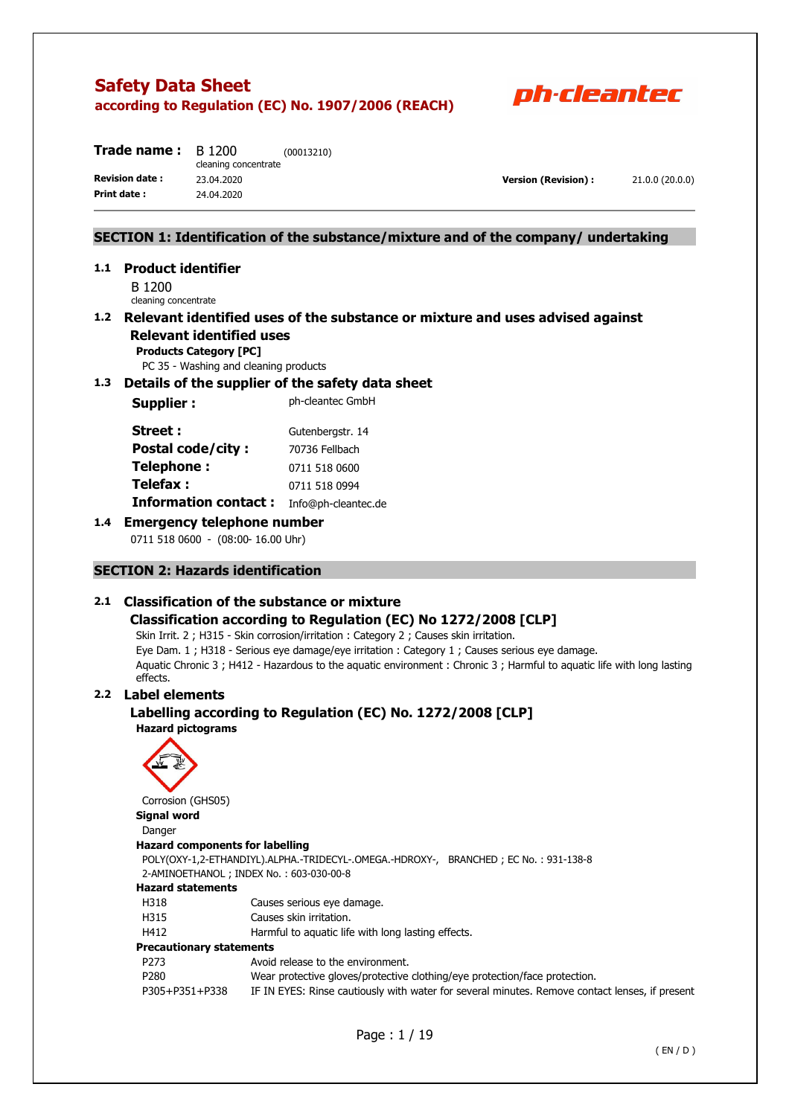

| B 1200<br>cleaning concentrate | (00013210) |
|--------------------------------|------------|
| 23.04.2020                     |            |
| 24.04.2020                     |            |
|                                |            |

**Version (Revision) :** 21.0.0 (20.0.0)

### **SECTION 1: Identification of the substance/mixture and of the company/ undertaking**

## **1.1 Product identifier**

B 1200 cleaning concentrate

### **1.2 Relevant identified uses of the substance or mixture and uses advised against Relevant identified uses**

**Products Category [PC]** 

PC 35 - Washing and cleaning products

### **1.3 Details of the supplier of the safety data sheet**

**Supplier :** Ph-cleantec GmbH

| Street :                    | Gutenbergstr. 14    |
|-----------------------------|---------------------|
| <b>Postal code/city:</b>    | 70736 Fellbach      |
| Telephone:                  | 0711 518 0600       |
| Telefax :                   | 0711 518 0994       |
| <b>Information contact:</b> | Info@ph-cleantec.de |

### **1.4 Emergency telephone number**

0711 518 0600 - (08:00-16.00 Uhr)

### **SECTION 2: Hazards identification**

### **2.1 Classification of the substance or mixture**

### **Classification according to Regulation (EC) No 1272/2008 [CLP]**

Skin Irrit. 2 ; H315 - Skin corrosion/irritation : Category 2 ; Causes skin irritation. Eye Dam. 1 ; H318 - Serious eye damage/eye irritation : Category 1 ; Causes serious eye damage. Aquatic Chronic 3 ; H412 - Hazardous to the aquatic environment : Chronic 3 ; Harmful to aquatic life with long lasting effects.

### **2.2 Label elements**

### **Labelling according to Regulation (EC) No. 1272/2008 [CLP] Hazard pictograms**



Corrosion (GHS05)

### **Signal word**

| Siynai woru              |                                                                                      |  |
|--------------------------|--------------------------------------------------------------------------------------|--|
| Danger                   |                                                                                      |  |
|                          | <b>Hazard components for labelling</b>                                               |  |
|                          | POLY(OXY-1,2-ETHANDIYL).ALPHA.-TRIDECYL-.OMEGA.-HDROXY-, BRANCHED; EC No.: 931-138-8 |  |
|                          | 2-AMINOETHANOL; INDEX No.: 603-030-00-8                                              |  |
| <b>Hazard statements</b> |                                                                                      |  |
| H318                     | Causes serious eye damage.                                                           |  |
| H315                     | Causes skin irritation.                                                              |  |
| H412                     | Harmful to aquatic life with long lasting effects.                                   |  |
| Precautionary statements |                                                                                      |  |
| P273                     | Avoid release to the environment.                                                    |  |
| P280                     | Wear protective gloves/protective clothing/eye protection/face protection.           |  |
|                          |                                                                                      |  |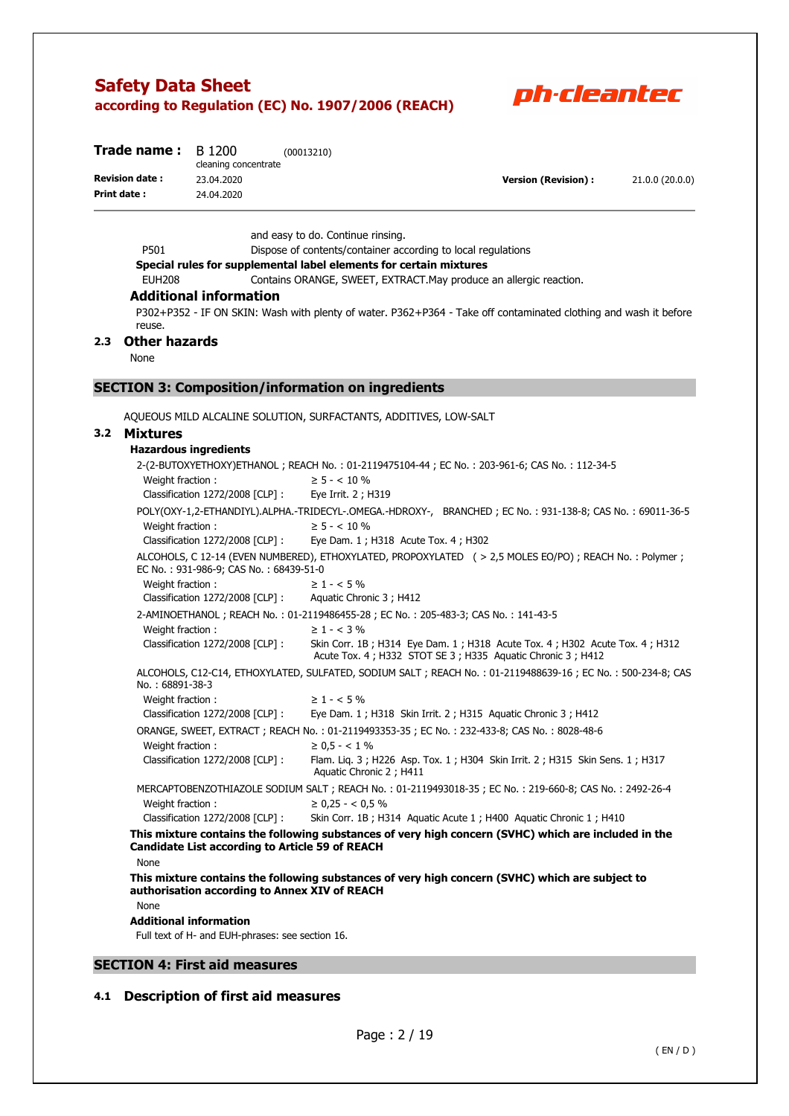

| <b>Trade name:</b> $B$ 1200 |                      | (00013210) |                      |                 |
|-----------------------------|----------------------|------------|----------------------|-----------------|
|                             | cleaning concentrate |            |                      |                 |
| <b>Revision date:</b>       | 23.04.2020           |            | Version (Revision) : | 21.0.0 (20.0.0) |
| Print date:                 | 24.04.2020           |            |                      |                 |
|                             |                      |            |                      |                 |

and easy to do. Continue rinsing.

P501 Dispose of contents/container according to local regulations

#### **Special rules for supplemental label elements for certain mixtures**

EUH208 Contains ORANGE, SWEET, EXTRACT.May produce an allergic reaction.

### **Additional information**

P302+P352 - IF ON SKIN: Wash with plenty of water. P362+P364 - Take off contaminated clothing and wash it before reuse.

### **2.3 Other hazards**

None

### **SECTION 3: Composition/information on ingredients**

AQUEOUS MILD ALCALINE SOLUTION, SURFACTANTS, ADDITIVES, LOW-SALT

### **3.2 Mixtures**

| <b>Hazardous ingredients</b>                           |                                                                                                                                          |
|--------------------------------------------------------|------------------------------------------------------------------------------------------------------------------------------------------|
|                                                        | 2-(2-BUTOXYETHOXY)ETHANOL ; REACH No. : 01-2119475104-44 ; EC No. : 203-961-6; CAS No. : 112-34-5                                        |
| Weight fraction:                                       | $\geq$ 5 - < 10 %                                                                                                                        |
| Classification 1272/2008 [CLP] :                       | Eye Irrit. 2; H319                                                                                                                       |
|                                                        | POLY(OXY-1,2-ETHANDIYL).ALPHA.-TRIDECYL-.OMEGA.-HDROXY-, BRANCHED; EC No.: 931-138-8; CAS No.: 69011-36-5                                |
| Weight fraction:                                       | $\geq$ 5 - < 10 %                                                                                                                        |
| Classification 1272/2008 [CLP]:                        | Eye Dam. 1 ; H318 Acute Tox. 4 ; H302                                                                                                    |
| EC No.: 931-986-9; CAS No.: 68439-51-0                 | ALCOHOLS, C 12-14 (EVEN NUMBERED), ETHOXYLATED, PROPOXYLATED (> 2,5 MOLES EO/PO); REACH No.: Polymer;                                    |
| Weight fraction:                                       | $\geq 1 - 5\%$                                                                                                                           |
| Classification 1272/2008 [CLP] :                       | Aquatic Chronic 3 ; H412                                                                                                                 |
|                                                        | 2-AMINOETHANOL; REACH No.: 01-2119486455-28; EC No.: 205-483-3; CAS No.: 141-43-5                                                        |
| Weight fraction:                                       | $\geq 1 - < 3\%$                                                                                                                         |
| Classification 1272/2008 [CLP] :                       | Skin Corr. 1B; H314 Eye Dam. 1; H318 Acute Tox. 4; H302 Acute Tox. 4; H312<br>Acute Tox. 4; H332 STOT SE 3; H335 Aquatic Chronic 3; H412 |
| No.: 68891-38-3                                        | ALCOHOLS, C12-C14, ETHOXYLATED, SULFATED, SODIUM SALT; REACH No.: 01-2119488639-16; EC No.: 500-234-8; CAS                               |
| Weight fraction:                                       | $\geq 1 - 5\%$                                                                                                                           |
| Classification 1272/2008 [CLP] :                       | Eye Dam. 1; H318 Skin Irrit. 2; H315 Aquatic Chronic 3; H412                                                                             |
|                                                        | ORANGE, SWEET, EXTRACT; REACH No.: 01-2119493353-35; EC No.: 232-433-8; CAS No.: 8028-48-6                                               |
| Weight fraction:                                       | $\geq 0.5 - < 1\%$                                                                                                                       |
| Classification 1272/2008 [CLP] :                       | Flam. Lig. 3; H226 Asp. Tox. 1; H304 Skin Irrit. 2; H315 Skin Sens. 1; H317<br>Aquatic Chronic 2; H411                                   |
|                                                        | MERCAPTOBENZOTHIAZOLE SODIUM SALT ; REACH No.: 01-2119493018-35 ; EC No.: 219-660-8; CAS No.: 2492-26-4                                  |
| Weight fraction:                                       | $\geq$ 0,25 - < 0,5 %                                                                                                                    |
| Classification 1272/2008 [CLP] :                       | Skin Corr. 1B; H314 Aquatic Acute 1; H400 Aquatic Chronic 1; H410                                                                        |
| <b>Candidate List according to Article 59 of REACH</b> | This mixture contains the following substances of very high concern (SVHC) which are included in the                                     |
| None                                                   |                                                                                                                                          |
| authorisation according to Annex XIV of REACH          | This mixture contains the following substances of very high concern (SVHC) which are subject to                                          |
| None                                                   |                                                                                                                                          |
| <b>Additional information</b>                          |                                                                                                                                          |
| Full text of H- and EUH-phrases: see section 16.       |                                                                                                                                          |

### **SECTION 4: First aid measures**

### **4.1 Description of first aid measures**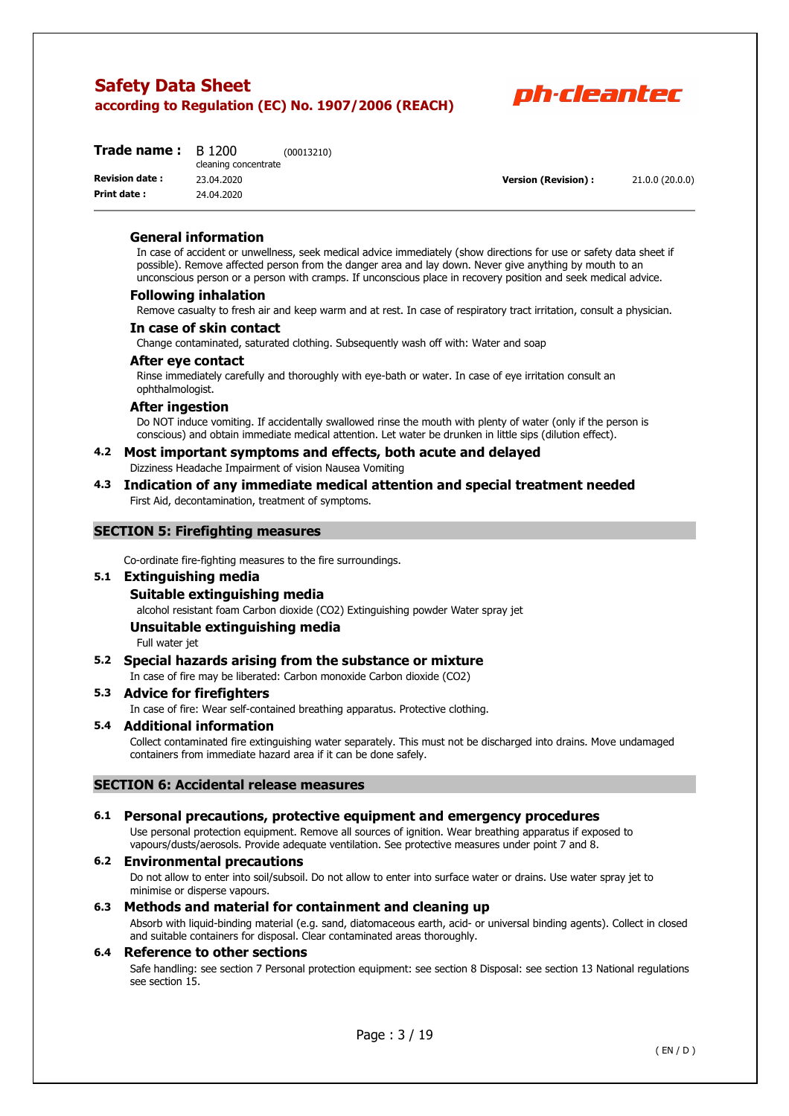

| Trade name:           | B 1200<br>cleaning concentrate | (00013210) |
|-----------------------|--------------------------------|------------|
| <b>Revision date:</b> | 23.04.2020                     |            |
| Print date:           | 24.04.2020                     |            |

**Version (Revision) :** 21.0.0 (20.0.0)

#### **General information**

In case of accident or unwellness, seek medical advice immediately (show directions for use or safety data sheet if possible). Remove affected person from the danger area and lay down. Never give anything by mouth to an unconscious person or a person with cramps. If unconscious place in recovery position and seek medical advice.

#### **Following inhalation**

Remove casualty to fresh air and keep warm and at rest. In case of respiratory tract irritation, consult a physician.

#### **In case of skin contact**

Change contaminated, saturated clothing. Subsequently wash off with: Water and soap

#### **After eye contact**

Rinse immediately carefully and thoroughly with eye-bath or water. In case of eye irritation consult an ophthalmologist.

#### **After ingestion**

Do NOT induce vomiting. If accidentally swallowed rinse the mouth with plenty of water (only if the person is conscious) and obtain immediate medical attention. Let water be drunken in little sips (dilution effect).

# **4.2 Most important symptoms and effects, both acute and delayed**

Dizziness Headache Impairment of vision Nausea Vomiting

#### **4.3 Indication of any immediate medical attention and special treatment needed**  First Aid, decontamination, treatment of symptoms.

### **SECTION 5: Firefighting measures**

Co-ordinate fire-fighting measures to the fire surroundings.

### **5.1 Extinguishing media**

### **Suitable extinguishing media**

alcohol resistant foam Carbon dioxide (CO2) Extinguishing powder Water spray jet

#### **Unsuitable extinguishing media**

Full water jet

### **5.2 Special hazards arising from the substance or mixture**

In case of fire may be liberated: Carbon monoxide Carbon dioxide (CO2)

#### **5.3 Advice for firefighters**

In case of fire: Wear self-contained breathing apparatus. Protective clothing.

### **5.4 Additional information**

Collect contaminated fire extinguishing water separately. This must not be discharged into drains. Move undamaged containers from immediate hazard area if it can be done safely.

### **SECTION 6: Accidental release measures**

#### **6.1 Personal precautions, protective equipment and emergency procedures**

Use personal protection equipment. Remove all sources of ignition. Wear breathing apparatus if exposed to vapours/dusts/aerosols. Provide adequate ventilation. See protective measures under point 7 and 8.

#### **6.2 Environmental precautions**

Do not allow to enter into soil/subsoil. Do not allow to enter into surface water or drains. Use water spray jet to minimise or disperse vapours.

### **6.3 Methods and material for containment and cleaning up**

Absorb with liquid-binding material (e.g. sand, diatomaceous earth, acid- or universal binding agents). Collect in closed and suitable containers for disposal. Clear contaminated areas thoroughly.

### **6.4 Reference to other sections**

Safe handling: see section 7 Personal protection equipment: see section 8 Disposal: see section 13 National regulations see section 15.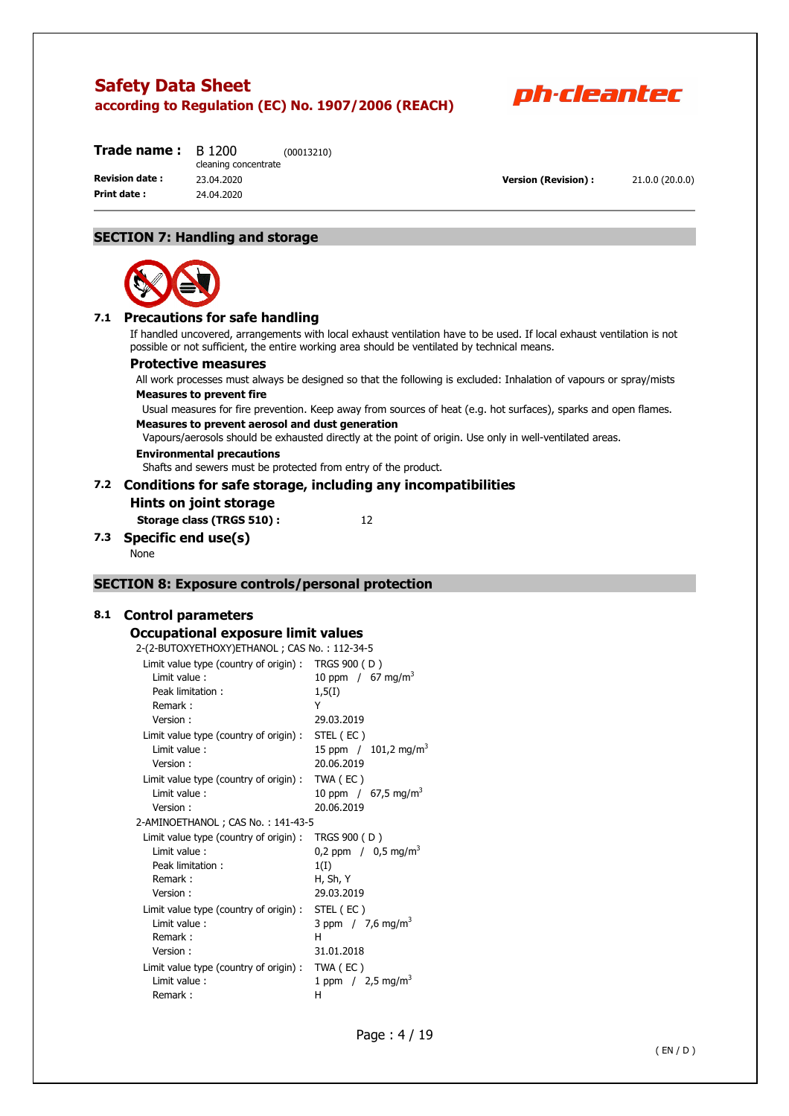

| Trade name :          | B 1200<br>cleaning concentrate | (00013210) |
|-----------------------|--------------------------------|------------|
| <b>Revision date:</b> | 23.04.2020                     |            |
| Print date:           | 24.04.2020                     |            |

**Version (Revision) :** 21.0.0 (20.0.0)

### **SECTION 7: Handling and storage**



### **7.1 Precautions for safe handling**

If handled uncovered, arrangements with local exhaust ventilation have to be used. If local exhaust ventilation is not possible or not sufficient, the entire working area should be ventilated by technical means.

#### **Protective measures**

All work processes must always be designed so that the following is excluded: Inhalation of vapours or spray/mists **Measures to prevent fire** 

Usual measures for fire prevention. Keep away from sources of heat (e.g. hot surfaces), sparks and open flames. **Measures to prevent aerosol and dust generation** 

Vapours/aerosols should be exhausted directly at the point of origin. Use only in well-ventilated areas. **Environmental precautions** 

Shafts and sewers must be protected from entry of the product.

# **7.2 Conditions for safe storage, including any incompatibilities**

**Hints on joint storage** 

**Storage class (TRGS 510) :** 12

### **7.3 Specific end use(s)**

None

### **SECTION 8: Exposure controls/personal protection**

#### **8.1 Control parameters**

## **Occupational exposure limit values**

| occupational exposure limit values           |                                    |
|----------------------------------------------|------------------------------------|
| 2-(2-BUTOXYETHOXY)ETHANOL; CAS No.: 112-34-5 |                                    |
| Limit value type (country of origin):        | TRGS 900 (D)                       |
| Limit value:                                 | 10 ppm / 67 mg/m <sup>3</sup>      |
| Peak limitation:                             | 1,5(1)                             |
| Remark:                                      | Y                                  |
| Version:                                     | 29.03.2019                         |
| Limit value type (country of origin):        | STEL (EC)                          |
| Limit value:                                 | 15 ppm $/$ 101,2 mg/m <sup>3</sup> |
| Version:                                     | 20.06.2019                         |
| Limit value type (country of origin):        | TWA (EC)                           |
| Limit value:                                 | 10 ppm / $67,5$ mg/m <sup>3</sup>  |
| Version:                                     | 20.06.2019                         |
| 2-AMINOETHANOL ; CAS No.: 141-43-5           |                                    |
| Limit value type (country of origin):        | TRGS 900 (D)                       |

| Limit value type (country of origin) : TWA (EC) |                                   |
|-------------------------------------------------|-----------------------------------|
| Limit value:                                    | 10 ppm / $67,5$ mg/m <sup>3</sup> |
| Version:                                        | 20.06.2019                        |
| -AMINOETHANOL ; CAS No. : 141-43-5              |                                   |
| Limit value type (country of origin):           | TRGS 900 (D)                      |
| Limit value:                                    | 0,2 ppm $/$ 0,5 mg/m <sup>3</sup> |
| Peak limitation:                                | 1(I)                              |
| Remark:                                         | H, Sh, Y                          |
| Version:                                        | 29.03.2019                        |
| Limit value type (country of origin) :          | STEL (EC)                         |
| Limit value:                                    | 3 ppm $/7.6$ mg/m <sup>3</sup>    |
| Remark:                                         | н                                 |
| Version:                                        | 31.01.2018                        |
| Limit value type (country of origin) :          | TWA (EC)                          |
| Limit value:                                    | 1 ppm $/$ 2,5 mg/m <sup>3</sup>   |
| Remark:                                         | н                                 |
|                                                 |                                   |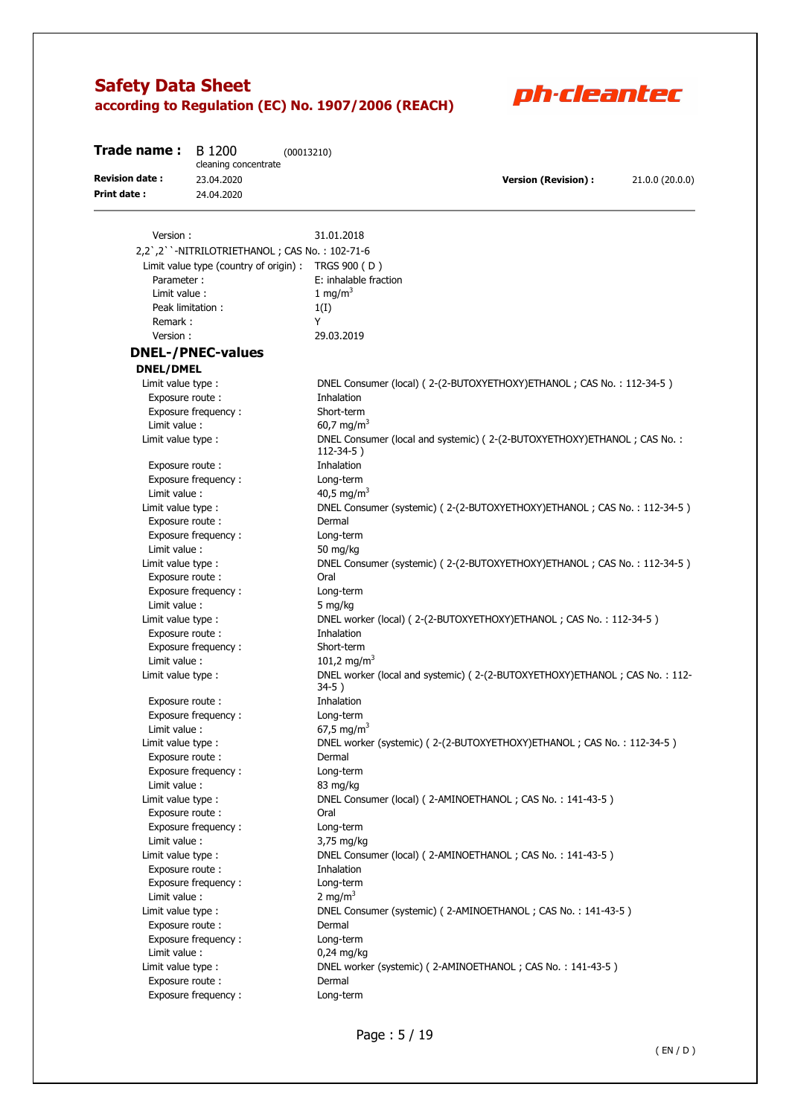

| Trade name:           | B 1200<br>cleaning concentrate                | (00013210)                                                                                 |                            |                 |
|-----------------------|-----------------------------------------------|--------------------------------------------------------------------------------------------|----------------------------|-----------------|
| <b>Revision date:</b> | 23.04.2020                                    |                                                                                            | <b>Version (Revision):</b> | 21.0.0 (20.0.0) |
| <b>Print date:</b>    | 24.04.2020                                    |                                                                                            |                            |                 |
|                       |                                               |                                                                                            |                            |                 |
| Version:              |                                               | 31.01.2018                                                                                 |                            |                 |
|                       | 2,2',2''-NITRILOTRIETHANOL; CAS No.: 102-71-6 |                                                                                            |                            |                 |
|                       |                                               | Limit value type (country of origin) : TRGS 900 (D)                                        |                            |                 |
| Parameter:            |                                               | E: inhalable fraction                                                                      |                            |                 |
| Limit value :         |                                               | 1 mg/m $3$                                                                                 |                            |                 |
|                       | Peak limitation:                              | 1(I)                                                                                       |                            |                 |
| Remark:               |                                               | Y                                                                                          |                            |                 |
| Version:              |                                               | 29.03.2019                                                                                 |                            |                 |
|                       | <b>DNEL-/PNEC-values</b>                      |                                                                                            |                            |                 |
| <b>DNEL/DMEL</b>      |                                               |                                                                                            |                            |                 |
| Limit value type :    |                                               | DNEL Consumer (local) (2-(2-BUTOXYETHOXY) ETHANOL; CAS No.: 112-34-5)                      |                            |                 |
| Exposure route:       |                                               | Inhalation                                                                                 |                            |                 |
|                       | Exposure frequency:                           | Short-term                                                                                 |                            |                 |
| Limit value:          |                                               | 60,7 mg/m <sup>3</sup>                                                                     |                            |                 |
| Limit value type :    |                                               | DNEL Consumer (local and systemic) (2-(2-BUTOXYETHOXY)ETHANOL; CAS No.:<br>$112 - 34 - 5)$ |                            |                 |
| Exposure route:       |                                               | Inhalation                                                                                 |                            |                 |
|                       | Exposure frequency:                           | Long-term                                                                                  |                            |                 |
| Limit value:          |                                               | 40,5 mg/m <sup>3</sup>                                                                     |                            |                 |
| Limit value type :    |                                               | DNEL Consumer (systemic) (2-(2-BUTOXYETHOXY)ETHANOL; CAS No.: 112-34-5)                    |                            |                 |
| Exposure route:       |                                               | Dermal                                                                                     |                            |                 |
|                       | Exposure frequency:                           | Long-term                                                                                  |                            |                 |
| Limit value:          |                                               | 50 mg/kg                                                                                   |                            |                 |
| Limit value type :    |                                               | DNEL Consumer (systemic) (2-(2-BUTOXYETHOXY)ETHANOL; CAS No.: 112-34-5)                    |                            |                 |
| Exposure route:       |                                               | Oral                                                                                       |                            |                 |
|                       | Exposure frequency:                           | Long-term                                                                                  |                            |                 |
| Limit value :         |                                               | 5 mg/kg                                                                                    |                            |                 |
| Limit value type :    |                                               | DNEL worker (local) (2-(2-BUTOXYETHOXY)ETHANOL; CAS No.: 112-34-5)                         |                            |                 |
| Exposure route:       |                                               | Inhalation                                                                                 |                            |                 |
|                       | Exposure frequency:                           | Short-term                                                                                 |                            |                 |
| Limit value :         |                                               | 101,2 mg/m <sup>3</sup>                                                                    |                            |                 |
| Limit value type :    |                                               | DNEL worker (local and systemic) (2-(2-BUTOXYETHOXY)ETHANOL; CAS No.: 112-<br>$34-5)$      |                            |                 |
| Exposure route:       |                                               | Inhalation                                                                                 |                            |                 |
|                       | Exposure frequency:                           | Long-term                                                                                  |                            |                 |
| Limit value :         |                                               | 67,5 mg/m <sup>3</sup>                                                                     |                            |                 |
| Limit value type :    |                                               | DNEL worker (systemic) (2-(2-BUTOXYETHOXY)ETHANOL; CAS No.: 112-34-5)                      |                            |                 |
| Exposure route:       |                                               | Dermal                                                                                     |                            |                 |
|                       | Exposure frequency:                           | Long-term                                                                                  |                            |                 |
| Limit value:          |                                               | 83 mg/kg                                                                                   |                            |                 |
| Limit value type :    |                                               | DNEL Consumer (local) (2-AMINOETHANOL; CAS No.: 141-43-5)                                  |                            |                 |
| Exposure route :      |                                               | Oral                                                                                       |                            |                 |
|                       | Exposure frequency :                          | Long-term                                                                                  |                            |                 |
| Limit value:          |                                               | 3,75 mg/kg                                                                                 |                            |                 |
| Limit value type :    |                                               | DNEL Consumer (local) (2-AMINOETHANOL; CAS No.: 141-43-5)                                  |                            |                 |
| Exposure route:       |                                               | Inhalation                                                                                 |                            |                 |
|                       | Exposure frequency:                           | Long-term                                                                                  |                            |                 |
| Limit value:          |                                               | 2 mg/m <sup>3</sup>                                                                        |                            |                 |
| Limit value type :    |                                               | DNEL Consumer (systemic) (2-AMINOETHANOL; CAS No.: 141-43-5)                               |                            |                 |
| Exposure route:       |                                               | Dermal                                                                                     |                            |                 |
|                       | Exposure frequency:                           | Long-term                                                                                  |                            |                 |
| Limit value :         |                                               | $0,24$ mg/kg                                                                               |                            |                 |
| Limit value type :    |                                               | DNEL worker (systemic) (2-AMINOETHANOL; CAS No.: 141-43-5)                                 |                            |                 |
| Exposure route :      |                                               | Dermal                                                                                     |                            |                 |
|                       | Exposure frequency:                           | Long-term                                                                                  |                            |                 |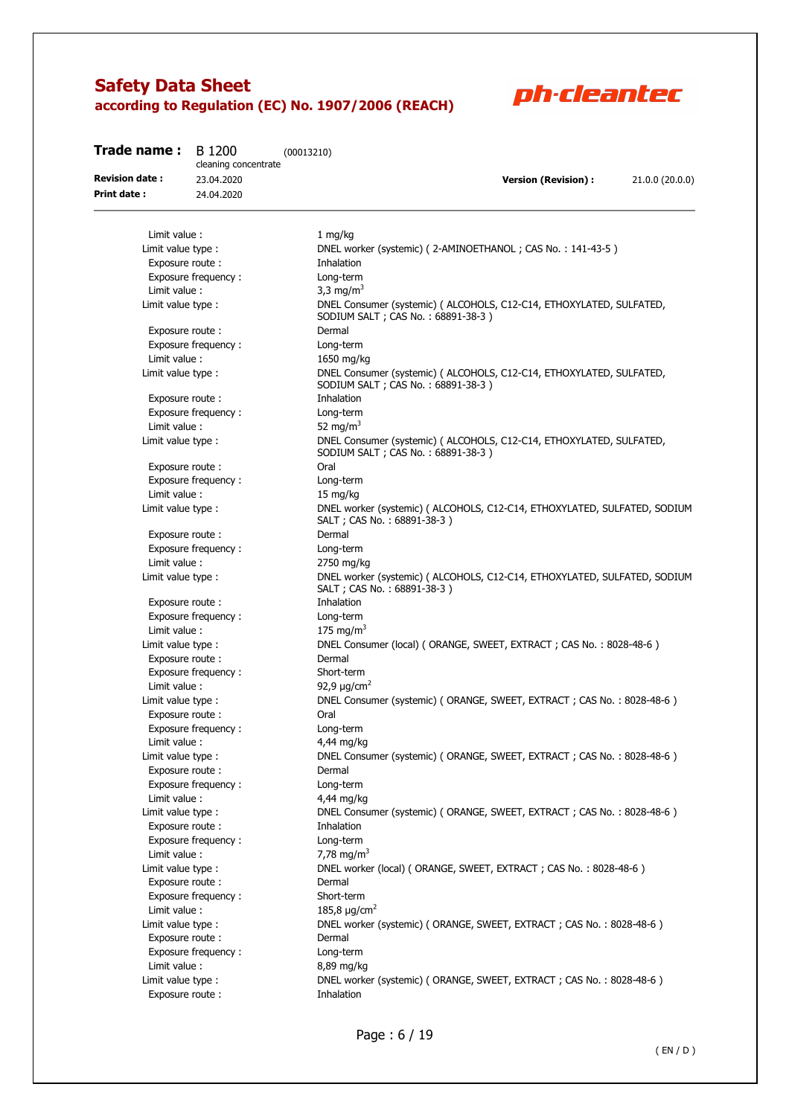

| Trade name:<br>B 1200<br>(00013210)<br>cleaning concentrate |                     |                                                                                                            |
|-------------------------------------------------------------|---------------------|------------------------------------------------------------------------------------------------------------|
| <b>Revision date:</b>                                       | 23.04.2020          | <b>Version (Revision):</b><br>21.0.0 (20.0.0)                                                              |
| <b>Print date:</b>                                          | 24.04.2020          |                                                                                                            |
|                                                             |                     |                                                                                                            |
| Limit value:                                                |                     | 1 mg/kg                                                                                                    |
| Limit value type :                                          |                     | DNEL worker (systemic) (2-AMINOETHANOL; CAS No.: 141-43-5)                                                 |
|                                                             | Exposure route:     | Inhalation                                                                                                 |
|                                                             | Exposure frequency: | Long-term                                                                                                  |
| Limit value:                                                |                     | 3,3 mg/m <sup>3</sup>                                                                                      |
| Limit value type :                                          |                     | DNEL Consumer (systemic) ( ALCOHOLS, C12-C14, ETHOXYLATED, SULFATED,<br>SODIUM SALT ; CAS No.: 68891-38-3) |
|                                                             | Exposure route:     | Dermal                                                                                                     |
|                                                             | Exposure frequency: | Long-term                                                                                                  |
| Limit value:                                                |                     | 1650 mg/kg                                                                                                 |
| Limit value type :                                          |                     | DNEL Consumer (systemic) ( ALCOHOLS, C12-C14, ETHOXYLATED, SULFATED,<br>SODIUM SALT ; CAS No.: 68891-38-3) |
|                                                             | Exposure route:     | Inhalation                                                                                                 |
|                                                             | Exposure frequency: | Long-term                                                                                                  |
| Limit value:                                                |                     | 52 mg/m <sup>3</sup>                                                                                       |
| Limit value type :                                          |                     | DNEL Consumer (systemic) ( ALCOHOLS, C12-C14, ETHOXYLATED, SULFATED,<br>SODIUM SALT ; CAS No.: 68891-38-3) |
|                                                             | Exposure route:     | Oral                                                                                                       |
|                                                             | Exposure frequency: | Long-term                                                                                                  |
| Limit value:                                                |                     | $15 \text{ mg/kg}$                                                                                         |
| Limit value type :                                          |                     | DNEL worker (systemic) ( ALCOHOLS, C12-C14, ETHOXYLATED, SULFATED, SODIUM<br>SALT; CAS No.: 68891-38-3)    |
|                                                             | Exposure route:     | Dermal                                                                                                     |
|                                                             | Exposure frequency: | Long-term                                                                                                  |
| Limit value:                                                |                     | 2750 mg/kg                                                                                                 |
| Limit value type :                                          |                     | DNEL worker (systemic) ( ALCOHOLS, C12-C14, ETHOXYLATED, SULFATED, SODIUM<br>SALT ; CAS No.: 68891-38-3)   |
|                                                             | Exposure route:     | Inhalation                                                                                                 |
|                                                             | Exposure frequency: | Long-term                                                                                                  |
| Limit value:                                                |                     | 175 mg/m <sup>3</sup>                                                                                      |
| Limit value type :                                          |                     | DNEL Consumer (local) (ORANGE, SWEET, EXTRACT; CAS No.: 8028-48-6)                                         |
|                                                             | Exposure route:     | Dermal                                                                                                     |
|                                                             | Exposure frequency: | Short-term                                                                                                 |
| Limit value :                                               |                     | 92,9 $\mu$ g/cm <sup>2</sup>                                                                               |
| Limit value type :                                          |                     | DNEL Consumer (systemic) (ORANGE, SWEET, EXTRACT; CAS No.: 8028-48-6)<br>Oral                              |
|                                                             | Exposure route:     |                                                                                                            |
|                                                             | Exposure frequency: | Long-term<br>4,44 mg/kg                                                                                    |
| Limit value:                                                |                     | DNEL Consumer (systemic) (ORANGE, SWEET, EXTRACT; CAS No.: 8028-48-6)                                      |
| Limit value type :                                          | Exposure route:     | Dermal                                                                                                     |
|                                                             | Exposure frequency: | Long-term                                                                                                  |
| Limit value :                                               |                     | 4,44 mg/kg                                                                                                 |
| Limit value type :                                          |                     | DNEL Consumer (systemic) (ORANGE, SWEET, EXTRACT; CAS No.: 8028-48-6)                                      |
|                                                             | Exposure route:     | Inhalation                                                                                                 |
|                                                             | Exposure frequency: | Long-term                                                                                                  |
| Limit value :                                               |                     | 7,78 mg/m <sup>3</sup>                                                                                     |
| Limit value type :                                          |                     | DNEL worker (local) (ORANGE, SWEET, EXTRACT; CAS No.: 8028-48-6)                                           |
|                                                             | Exposure route:     | Dermal                                                                                                     |
|                                                             | Exposure frequency: | Short-term                                                                                                 |
| Limit value:                                                |                     | 185,8 $\mu$ g/cm <sup>2</sup>                                                                              |
| Limit value type :                                          |                     | DNEL worker (systemic) (ORANGE, SWEET, EXTRACT; CAS No.: 8028-48-6)                                        |
|                                                             | Exposure route:     | Dermal                                                                                                     |
|                                                             | Exposure frequency: | Long-term                                                                                                  |
| Limit value :                                               |                     | 8,89 mg/kg                                                                                                 |
| Limit value type :                                          |                     | DNEL worker (systemic) (ORANGE, SWEET, EXTRACT; CAS No.: 8028-48-6)                                        |
|                                                             | Exposure route:     | Inhalation                                                                                                 |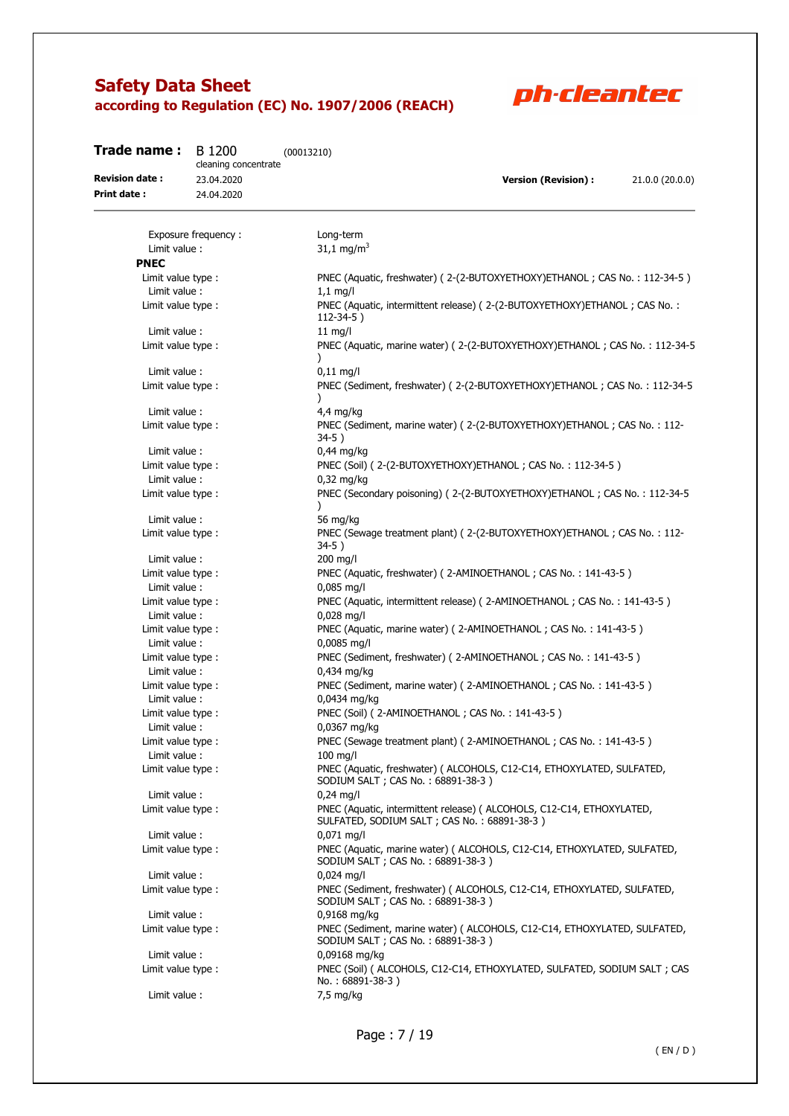

| Trade name:                        | B 1200<br>cleaning concentrate | (00013210)                                                                                                            |
|------------------------------------|--------------------------------|-----------------------------------------------------------------------------------------------------------------------|
| <b>Revision date:</b>              | 23.04.2020                     | <b>Version (Revision):</b><br>21.0.0 (20.0.0)                                                                         |
| <b>Print date:</b>                 | 24.04.2020                     |                                                                                                                       |
|                                    |                                |                                                                                                                       |
|                                    | Exposure frequency:            | Long-term                                                                                                             |
| Limit value :                      |                                | 31,1 mg/m <sup>3</sup>                                                                                                |
| <b>PNEC</b>                        |                                |                                                                                                                       |
| Limit value type :                 |                                | PNEC (Aquatic, freshwater) (2-(2-BUTOXYETHOXY)ETHANOL; CAS No.: 112-34-5)                                             |
| Limit value:                       |                                | $1,1$ mg/l                                                                                                            |
| Limit value type :                 |                                | PNEC (Aquatic, intermittent release) (2-(2-BUTOXYETHOXY)ETHANOL; CAS No.:<br>$112-34-5$ )                             |
| Limit value:                       |                                | $11$ mg/l                                                                                                             |
| Limit value type :                 |                                | PNEC (Aquatic, marine water) (2-(2-BUTOXYETHOXY) ETHANOL; CAS No.: 112-34-5                                           |
| Limit value:                       |                                | $0,11$ mg/l                                                                                                           |
| Limit value type :                 |                                | PNEC (Sediment, freshwater) (2-(2-BUTOXYETHOXY)ETHANOL; CAS No.: 112-34-5<br>$\lambda$                                |
| Limit value:                       |                                | $4,4$ mg/kg                                                                                                           |
| Limit value type :                 |                                | PNEC (Sediment, marine water) (2-(2-BUTOXYETHOXY) ETHANOL; CAS No.: 112-<br>34-5)                                     |
| Limit value:                       |                                | $0,44$ mg/kg                                                                                                          |
| Limit value type :                 |                                | PNEC (Soil) (2-(2-BUTOXYETHOXY)ETHANOL; CAS No.: 112-34-5)                                                            |
| Limit value:                       |                                | $0.32$ mg/kg                                                                                                          |
| Limit value type :                 |                                | PNEC (Secondary poisoning) (2-(2-BUTOXYETHOXY)ETHANOL; CAS No.: 112-34-5<br>$\mathcal{L}$                             |
| Limit value:                       |                                | 56 mg/kg                                                                                                              |
| Limit value type :                 |                                | PNEC (Sewage treatment plant) (2-(2-BUTOXYETHOXY)ETHANOL; CAS No.: 112-<br>$34-5)$                                    |
| Limit value:                       |                                | 200 mg/l                                                                                                              |
| Limit value type :                 |                                | PNEC (Aquatic, freshwater) (2-AMINOETHANOL; CAS No.: 141-43-5)                                                        |
| Limit value:                       |                                | $0,085$ mg/l                                                                                                          |
| Limit value type :                 |                                | PNEC (Aquatic, intermittent release) (2-AMINOETHANOL; CAS No.: 141-43-5)                                              |
| Limit value:                       |                                | $0,028$ mg/l                                                                                                          |
| Limit value type :                 |                                | PNEC (Aquatic, marine water) (2-AMINOETHANOL; CAS No.: 141-43-5)                                                      |
| Limit value:                       |                                | 0,0085 mg/l                                                                                                           |
| Limit value type :                 |                                | PNEC (Sediment, freshwater) (2-AMINOETHANOL; CAS No.: 141-43-5)                                                       |
| Limit value :                      |                                | 0,434 mg/kg                                                                                                           |
| Limit value type :<br>Limit value: |                                | PNEC (Sediment, marine water) (2-AMINOETHANOL; CAS No.: 141-43-5)<br>0,0434 mg/kg                                     |
| Limit value type :                 |                                | PNEC (Soil) (2-AMINOETHANOL; CAS No.: 141-43-5)                                                                       |
| Limit value:                       |                                | 0,0367 mg/kg                                                                                                          |
| Limit value type :                 |                                | PNEC (Sewage treatment plant) (2-AMINOETHANOL; CAS No.: 141-43-5)                                                     |
| Limit value:                       |                                | $100$ mg/l                                                                                                            |
| Limit value type :                 |                                | PNEC (Aquatic, freshwater) ( ALCOHOLS, C12-C14, ETHOXYLATED, SULFATED,<br>SODIUM SALT ; CAS No. : 68891-38-3)         |
| Limit value :                      |                                | $0,24$ mg/l                                                                                                           |
| Limit value type :                 |                                | PNEC (Aquatic, intermittent release) ( ALCOHOLS, C12-C14, ETHOXYLATED,<br>SULFATED, SODIUM SALT; CAS No.: 68891-38-3) |
| Limit value:                       |                                | $0,071$ mg/l                                                                                                          |
| Limit value type :                 |                                | PNEC (Aquatic, marine water) ( ALCOHOLS, C12-C14, ETHOXYLATED, SULFATED,<br>SODIUM SALT ; CAS No.: 68891-38-3)        |
| Limit value:                       |                                | $0,024$ mg/l                                                                                                          |
| Limit value type :                 |                                | PNEC (Sediment, freshwater) ( ALCOHOLS, C12-C14, ETHOXYLATED, SULFATED,<br>SODIUM SALT ; CAS No.: 68891-38-3)         |
| Limit value :                      |                                | 0,9168 mg/kg                                                                                                          |
| Limit value type :                 |                                | PNEC (Sediment, marine water) ( ALCOHOLS, C12-C14, ETHOXYLATED, SULFATED,<br>SODIUM SALT ; CAS No.: 68891-38-3)       |
| Limit value:                       |                                | 0,09168 mg/kg                                                                                                         |
| Limit value type :                 |                                | PNEC (Soil) ( ALCOHOLS, C12-C14, ETHOXYLATED, SULFATED, SODIUM SALT ; CAS<br>No.: 68891-38-3)                         |
| Limit value :                      |                                | 7,5 mg/kg                                                                                                             |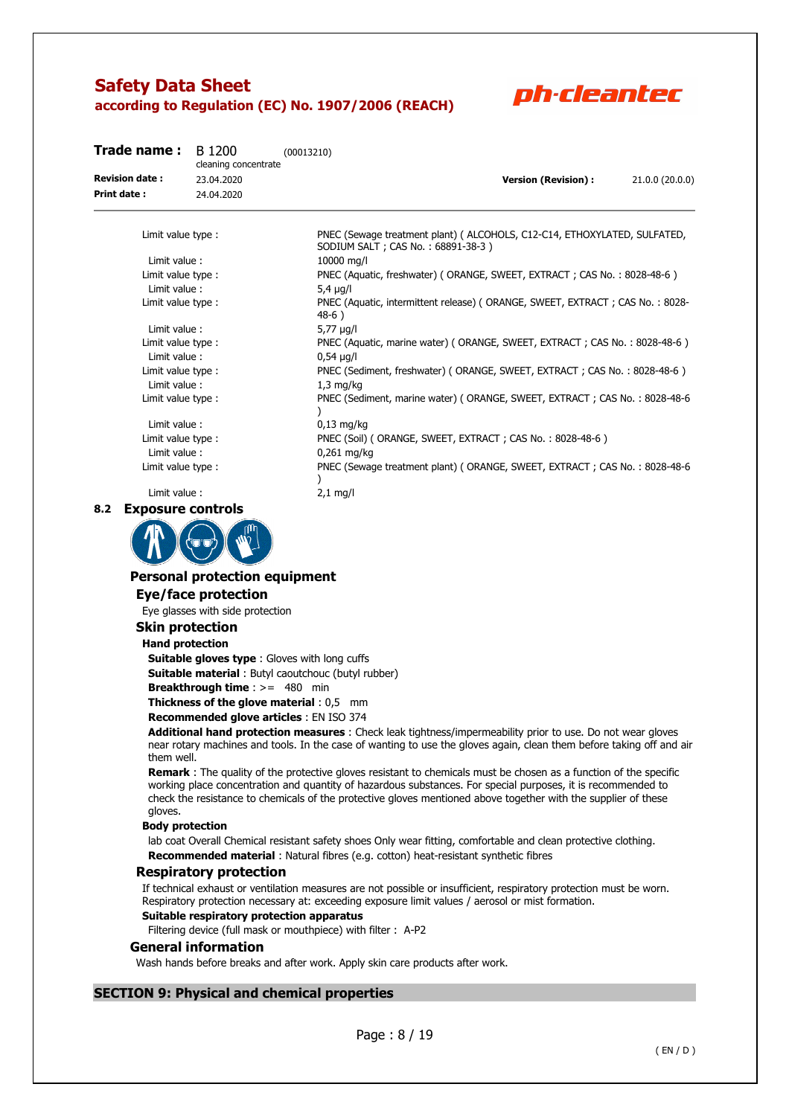

| Trade name:           | B 1200<br>cleaning concentrate | (00013210)                         |                                                                              |                 |  |
|-----------------------|--------------------------------|------------------------------------|------------------------------------------------------------------------------|-----------------|--|
| <b>Revision date:</b> | 23.04.2020                     |                                    | <b>Version (Revision):</b>                                                   | 21.0.0 (20.0.0) |  |
| Print date:           | 24.04.2020                     |                                    |                                                                              |                 |  |
| Limit value type:     |                                | SODIUM SALT ; CAS No.: 68891-38-3) | PNEC (Sewage treatment plant) (ALCOHOLS, C12-C14, ETHOXYLATED, SULFATED,     |                 |  |
| Limit value:          |                                | 10000 ma/l                         |                                                                              |                 |  |
| Limit value type:     |                                |                                    | PNEC (Aquatic, freshwater) (ORANGE, SWEET, EXTRACT; CAS No.: 8028-48-6)      |                 |  |
| Limit value:          |                                | $5.4 \mu q/l$                      |                                                                              |                 |  |
| Limit value type:     |                                | $48-6)$                            | PNEC (Aquatic, intermittent release) (ORANGE, SWEET, EXTRACT; CAS No.: 8028- |                 |  |
| Limit value:          |                                | 5,77 $\mu$ g/l                     |                                                                              |                 |  |
| Limit value type:     |                                |                                    | PNEC (Aquatic, marine water) (ORANGE, SWEET, EXTRACT; CAS No.: 8028-48-6)    |                 |  |
| Limit value:          |                                | $0,54 \mu g/l$                     |                                                                              |                 |  |
| Limit value type:     |                                |                                    | PNEC (Sediment, freshwater) (ORANGE, SWEET, EXTRACT; CAS No.: 8028-48-6)     |                 |  |
| Limit value:          |                                | $1,3$ mg/kg                        |                                                                              |                 |  |

Limit value type : PNEC (Sediment, marine water) ( ORANGE, SWEET, EXTRACT ; CAS No. : 8028-48-6 ) Limit value : 0,13 mg/kg

Limit value type : PNEC (Soil) (ORANGE, SWEET, EXTRACT ; CAS No. : 8028-48-6)

Limit value : 0,261 mg/kg Limit value type : PNEC (Sewage treatment plant) ( ORANGE, SWEET, EXTRACT ; CAS No. : 8028-48-6 )

#### **8.2 Exposure controls**



## **Personal protection equipment**

Limit value : 2,1 mg/l

## **Eye/face protection**

Eye glasses with side protection

#### **Skin protection**

#### **Hand protection**

**Suitable gloves type** : Gloves with long cuffs **Suitable material** : Butyl caoutchouc (butyl rubber)

**Breakthrough time** : >= 480 min

**Thickness of the glove material** : 0,5 mm

### **Recommended glove articles** : EN ISO 374

**Additional hand protection measures** : Check leak tightness/impermeability prior to use. Do not wear gloves near rotary machines and tools. In the case of wanting to use the gloves again, clean them before taking off and air them well.

**Remark** : The quality of the protective gloves resistant to chemicals must be chosen as a function of the specific working place concentration and quantity of hazardous substances. For special purposes, it is recommended to check the resistance to chemicals of the protective gloves mentioned above together with the supplier of these gloves.

#### **Body protection**

lab coat Overall Chemical resistant safety shoes Only wear fitting, comfortable and clean protective clothing. **Recommended material** : Natural fibres (e.g. cotton) heat-resistant synthetic fibres

#### **Respiratory protection**

If technical exhaust or ventilation measures are not possible or insufficient, respiratory protection must be worn. Respiratory protection necessary at: exceeding exposure limit values / aerosol or mist formation.

#### **Suitable respiratory protection apparatus**

Filtering device (full mask or mouthpiece) with filter : A-P2

#### **General information**

Wash hands before breaks and after work. Apply skin care products after work.

### **SECTION 9: Physical and chemical properties**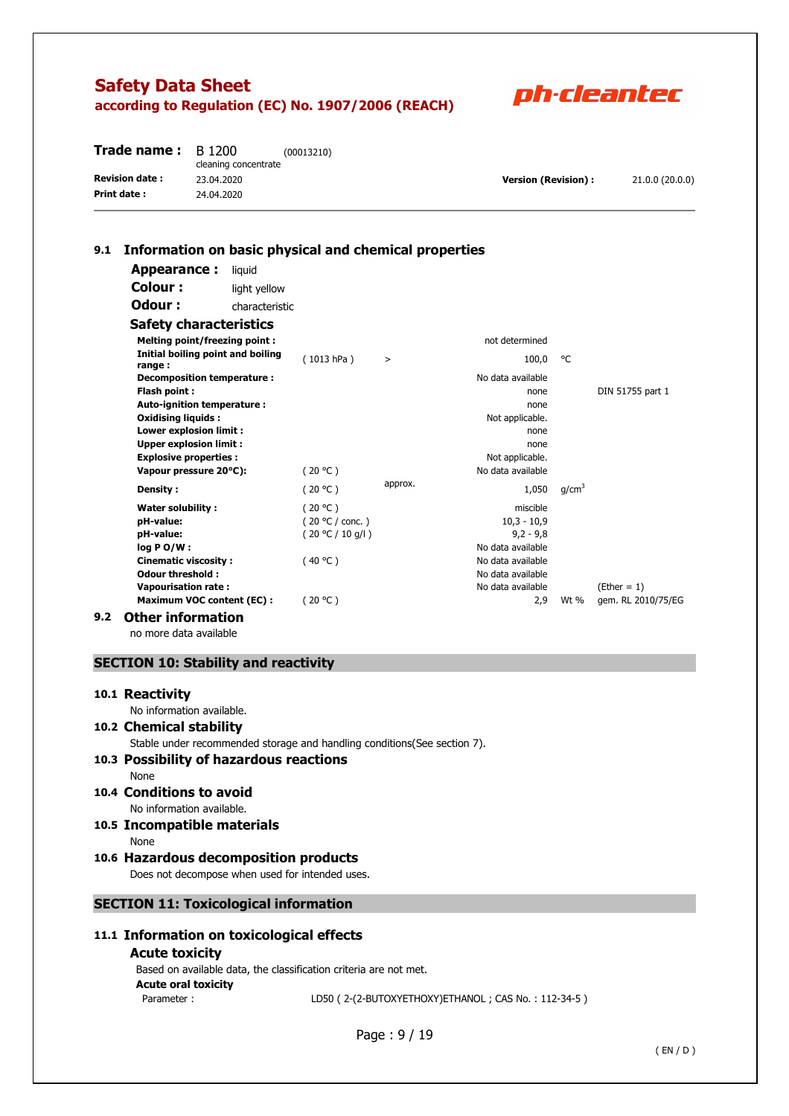

| <b>Trade name:</b> $B$ 1200 | cleaning concentrate | (00013210) |                            |                 |
|-----------------------------|----------------------|------------|----------------------------|-----------------|
| <b>Revision date:</b>       | 23.04.2020           |            | <b>Version (Revision):</b> | 21.0.0 (20.0.0) |
| Print date:                 | 24.04.2020           |            |                            |                 |

### **9.1 Information on basic physical and chemical properties**

| Appearance:                                 | liquid         |                  |         |                   |                   |                    |
|---------------------------------------------|----------------|------------------|---------|-------------------|-------------------|--------------------|
| Colour:                                     | light yellow   |                  |         |                   |                   |                    |
| Odour :                                     | characteristic |                  |         |                   |                   |                    |
| <b>Safety characteristics</b>               |                |                  |         |                   |                   |                    |
| <b>Melting point/freezing point:</b>        |                |                  |         | not determined    |                   |                    |
| Initial boiling point and boiling<br>range: |                | (1013 hPa)       | $\geq$  | 100,0             | °C                |                    |
| Decomposition temperature :                 |                |                  |         | No data available |                   |                    |
| Flash point:                                |                |                  |         | none              |                   | DIN 51755 part 1   |
| Auto-ignition temperature :                 |                |                  |         | none              |                   |                    |
| <b>Oxidising liquids:</b>                   |                |                  |         | Not applicable.   |                   |                    |
| <b>Lower explosion limit:</b>               |                |                  |         | none              |                   |                    |
| <b>Upper explosion limit:</b>               |                |                  |         | none              |                   |                    |
| <b>Explosive properties:</b>                |                |                  |         | Not applicable.   |                   |                    |
| Vapour pressure 20°C):                      |                | (20 °C)          |         | No data available |                   |                    |
| Density:                                    |                | (20 °C)          | approx. | 1,050             | q/cm <sup>3</sup> |                    |
| <b>Water solubility:</b>                    |                | (20 °C)          |         | miscible          |                   |                    |
| pH-value:                                   |                | (20 °C / conc.)  |         | $10,3 - 10,9$     |                   |                    |
| pH-value:                                   |                | (20 °C / 10 q/l) |         | $9.2 - 9.8$       |                   |                    |
| $log PO/W$ :                                |                |                  |         | No data available |                   |                    |
| <b>Cinematic viscosity:</b>                 |                | (40 °C)          |         | No data available |                   |                    |
| <b>Odour threshold:</b>                     |                |                  |         | No data available |                   |                    |
| <b>Vapourisation rate:</b>                  |                |                  |         | No data available |                   | $(Ether = 1)$      |
| <b>Maximum VOC content (EC):</b>            |                | (20 °C)          |         | 2,9               | Wt %              | gem. RL 2010/75/EG |
| <b>Other information</b>                    |                |                  |         |                   |                   |                    |

no more data available

### **SECTION 10: Stability and reactivity**

### **10.1 Reactivity**

No information available.

### **10.2 Chemical stability**

Stable under recommended storage and handling conditions(See section 7).

### **10.3 Possibility of hazardous reactions**

None

**10.4 Conditions to avoid** 

No information available. **10.5 Incompatible materials** 

None

## **10.6 Hazardous decomposition products**

Does not decompose when used for intended uses.

**SECTION 11: Toxicological information** 

## **11.1 Information on toxicological effects**

#### **Acute toxicity**

Based on available data, the classification criteria are not met. **Acute oral toxicity**  Parameter : LD50 ( 2-(2-BUTOXYETHOXY)ETHANOL ; CAS No. : 112-34-5 )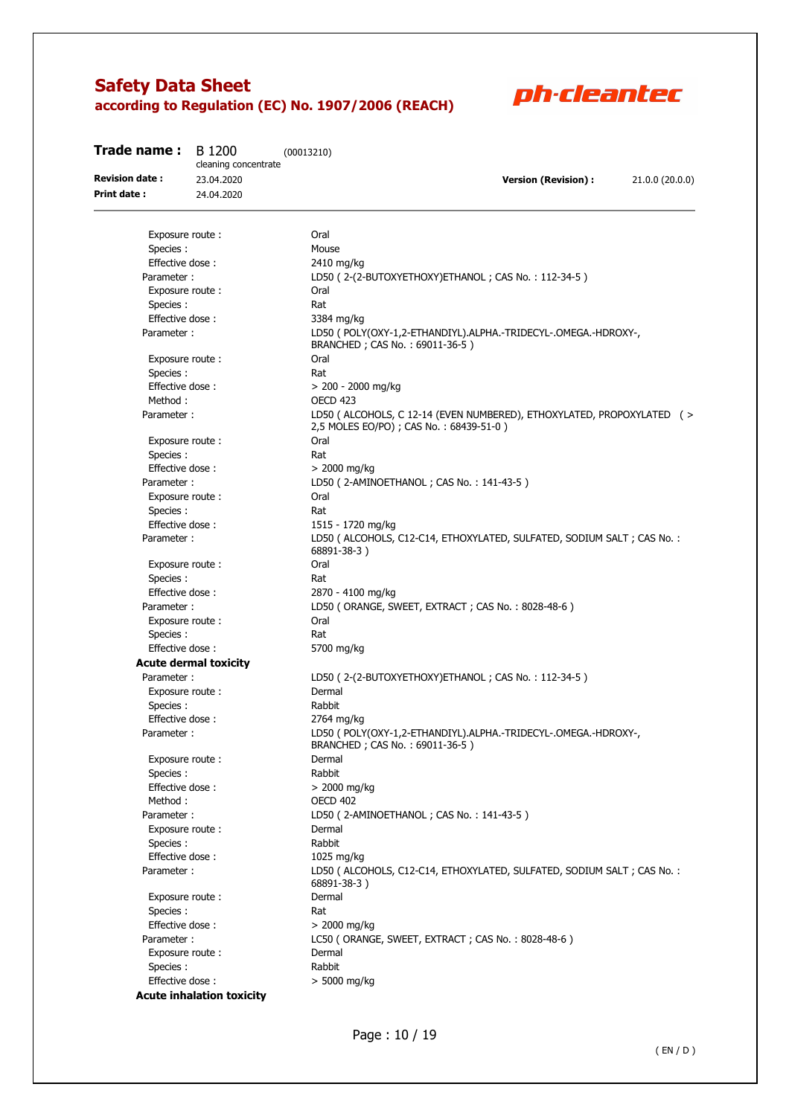

| Trade name:                          | B 1200<br>cleaning concentrate | (00013210)                                                                                                       |
|--------------------------------------|--------------------------------|------------------------------------------------------------------------------------------------------------------|
| <b>Revision date:</b><br>Print date: | 23.04.2020<br>24.04.2020       | <b>Version (Revision):</b><br>21.0.0 (20.0.0)                                                                    |
|                                      |                                |                                                                                                                  |
| Exposure route:                      |                                | Oral                                                                                                             |
| Species:                             |                                | Mouse                                                                                                            |
| Effective dose:                      |                                | 2410 mg/kg                                                                                                       |
| Parameter:                           |                                | LD50 (2-(2-BUTOXYETHOXY)ETHANOL; CAS No.: 112-34-5)                                                              |
| Exposure route:                      |                                | Oral                                                                                                             |
| Species:                             |                                | Rat                                                                                                              |
| Effective dose:                      |                                | 3384 mg/kg                                                                                                       |
| Parameter:                           |                                | LD50 ( POLY(OXY-1,2-ETHANDIYL).ALPHA.-TRIDECYL-.OMEGA.-HDROXY-,<br>BRANCHED; CAS No.: 69011-36-5)                |
| Exposure route:                      |                                | Oral                                                                                                             |
| Species:                             |                                | Rat                                                                                                              |
| Effective dose:                      |                                | > 200 - 2000 mg/kg                                                                                               |
| Method:                              |                                | OECD <sub>423</sub>                                                                                              |
| Parameter:                           |                                | LD50 (ALCOHOLS, C 12-14 (EVEN NUMBERED), ETHOXYLATED, PROPOXYLATED (><br>2,5 MOLES EO/PO) ; CAS No.: 68439-51-0) |
| Exposure route:                      |                                | Oral                                                                                                             |
| Species:                             |                                | Rat                                                                                                              |
| Effective dose:                      |                                | $> 2000$ mg/kg                                                                                                   |
| Parameter:                           |                                | LD50 (2-AMINOETHANOL; CAS No.: 141-43-5)                                                                         |
| Exposure route:                      |                                | Oral                                                                                                             |
| Species :                            |                                | Rat                                                                                                              |
| Effective dose:                      |                                | 1515 - 1720 mg/kg                                                                                                |
| Parameter:                           |                                | LD50 ( ALCOHOLS, C12-C14, ETHOXYLATED, SULFATED, SODIUM SALT ; CAS No. :<br>68891-38-3)                          |
| Exposure route:                      |                                | Oral                                                                                                             |
| Species:                             |                                | Rat                                                                                                              |
| Effective dose:                      |                                | 2870 - 4100 mg/kg                                                                                                |
| Parameter:                           |                                | LD50 (ORANGE, SWEET, EXTRACT; CAS No.: 8028-48-6)                                                                |
| Exposure route:                      |                                | Oral                                                                                                             |
| Species:                             |                                | Rat                                                                                                              |
| Effective dose:                      |                                | 5700 mg/kg                                                                                                       |
|                                      | <b>Acute dermal toxicity</b>   |                                                                                                                  |
| Parameter:                           |                                | LD50 (2-(2-BUTOXYETHOXY)ETHANOL; CAS No.: 112-34-5)                                                              |
| Exposure route:                      |                                | Dermal                                                                                                           |
| Species :                            |                                | Rabbit                                                                                                           |
| Effective dose:                      |                                | 2764 mg/kg                                                                                                       |
| Parameter:                           |                                | LD50 ( POLY(OXY-1,2-ETHANDIYL).ALPHA.-TRIDECYL-.OMEGA.-HDROXY-<br>BRANCHED; CAS No.: 69011-36-5)                 |
| Exposure route:                      |                                | Dermal                                                                                                           |
| Species:                             |                                | Rabbit                                                                                                           |
| Effective dose:                      |                                | $> 2000$ mg/kg                                                                                                   |
| Method:                              |                                | <b>OECD 402</b>                                                                                                  |
| Parameter:                           |                                | LD50 (2-AMINOETHANOL; CAS No.: 141-43-5)                                                                         |
| Exposure route:                      |                                | Dermal                                                                                                           |
| Species:                             |                                | Rabbit                                                                                                           |
| Effective dose:                      |                                | 1025 mg/kg                                                                                                       |
| Parameter:                           |                                | LD50 ( ALCOHOLS, C12-C14, ETHOXYLATED, SULFATED, SODIUM SALT ; CAS No. :<br>68891-38-3)                          |
| Exposure route:                      |                                | Dermal                                                                                                           |
| Species:                             |                                | Rat                                                                                                              |
| Effective dose:                      |                                | $> 2000$ mg/kg                                                                                                   |
| Parameter:                           |                                | LC50 (ORANGE, SWEET, EXTRACT; CAS No.: 8028-48-6)                                                                |
| Exposure route:                      |                                | Dermal                                                                                                           |
| Species :                            |                                | Rabbit                                                                                                           |
| Effective dose:                      |                                | > 5000 mg/kg                                                                                                     |

**Acute inhalation toxicity**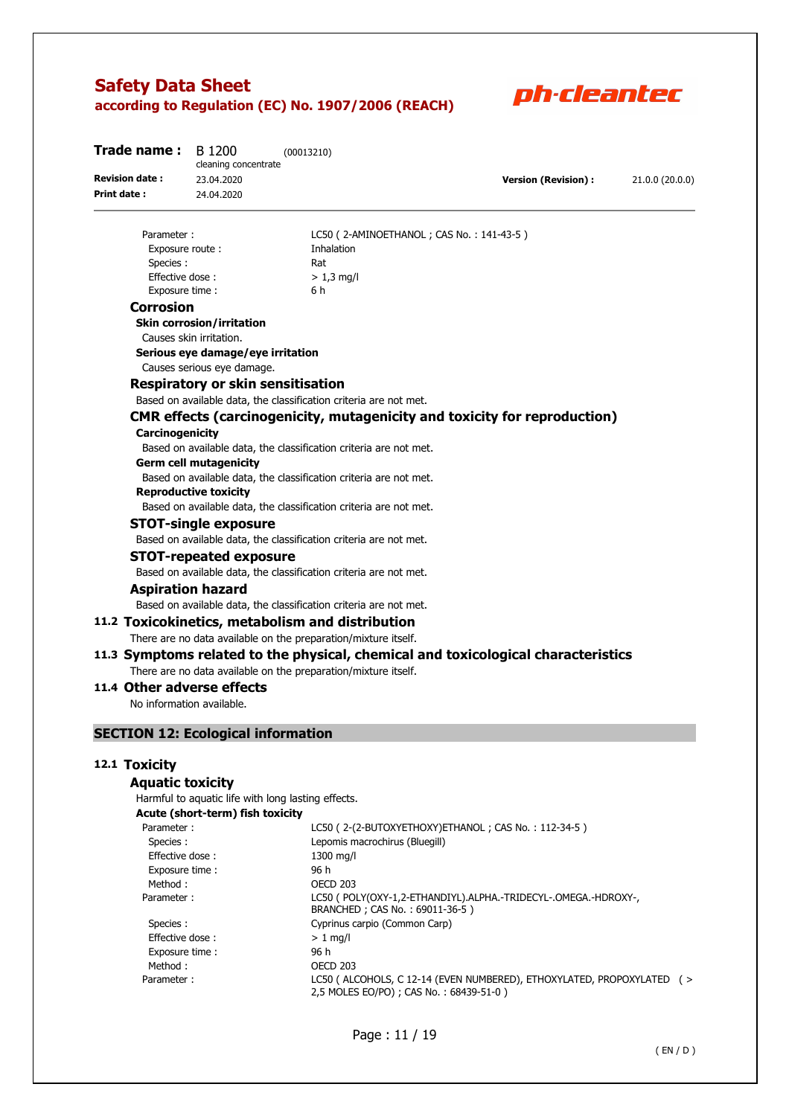

| <b>Trade name:</b> $B$ 1200 | cleaning concentrate | (00013210) |                            |                 |
|-----------------------------|----------------------|------------|----------------------------|-----------------|
| <b>Revision date:</b>       | 23.04.2020           |            | <b>Version (Revision):</b> | 21.0.0 (20.0.0) |
| Print date:                 | 24.04.2020           |            |                            |                 |
|                             |                      |            |                            |                 |

### Exposure route : Thalation Species : Rat Effective dose :  $> 1.3$  ma/l Exposure time : 6 h

Parameter : LC50 ( 2-AMINOETHANOL ; CAS No. : 141-43-5 )

### **Corrosion**

**Skin corrosion/irritation** 

Causes skin irritation.

#### **Serious eye damage/eye irritation**

Causes serious eye damage.

### **Respiratory or skin sensitisation**

Based on available data, the classification criteria are not met.

### **CMR effects (carcinogenicity, mutagenicity and toxicity for reproduction)**

#### **Carcinogenicity**

Based on available data, the classification criteria are not met.

#### **Germ cell mutagenicity**

Based on available data, the classification criteria are not met.

#### **Reproductive toxicity**

Based on available data, the classification criteria are not met.

#### **STOT-single exposure**

Based on available data, the classification criteria are not met.

### **STOT-repeated exposure**

Based on available data, the classification criteria are not met.

#### **Aspiration hazard**

Based on available data, the classification criteria are not met.

### **11.2 Toxicokinetics, metabolism and distribution**

There are no data available on the preparation/mixture itself.

#### **11.3 Symptoms related to the physical, chemical and toxicological characteristics**  There are no data available on the preparation/mixture itself.

### **11.4 Other adverse effects**

No information available.

### **SECTION 12: Ecological information**

#### **12.1 Toxicity**

#### **Aquatic toxicity**

Harmful to aquatic life with long lasting effects.

**Acute (short-term) fish toxicity** 

| Parameter:      | LC50 (2-(2-BUTOXYETHOXY) ETHANOL; CAS No.: 112-34-5)                                                               |
|-----------------|--------------------------------------------------------------------------------------------------------------------|
| Species :       | Lepomis macrochirus (Bluegill)                                                                                     |
| Effective dose: | 1300 mg/l                                                                                                          |
| Exposure time:  | 96 h                                                                                                               |
| Method:         | <b>OECD 203</b>                                                                                                    |
| Parameter:      | LC50 ( POLY(OXY-1,2-ETHANDIYL).ALPHA.-TRIDECYL-.OMEGA.-HDROXY-,<br>BRANCHED; CAS No.: 69011-36-5)                  |
| Species :       | Cyprinus carpio (Common Carp)                                                                                      |
| Effective dose: | $> 1$ ma/l                                                                                                         |
| Exposure time:  | 96 h                                                                                                               |
| Method :        | <b>OECD 203</b>                                                                                                    |
| Parameter:      | LC50 ( ALCOHOLS, C 12-14 (EVEN NUMBERED), ETHOXYLATED, PROPOXYLATED ( ><br>2,5 MOLES EO/PO) ; CAS No.: 68439-51-0) |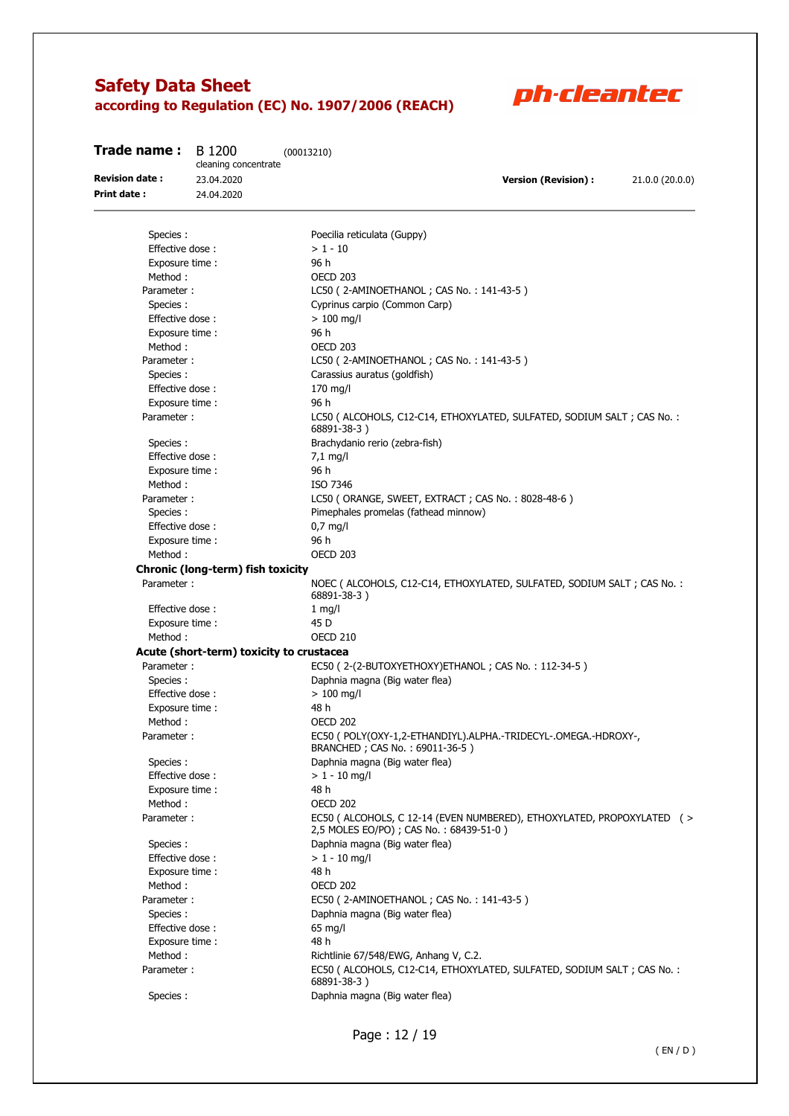

| 23.04.2020<br><b>Version (Revision):</b><br>21.0.0 (20.0.0)<br>Print date :<br>24.04.2020<br>Poecilia reticulata (Guppy)<br>Species :<br>Effective dose:<br>$> 1 - 10$<br>96 h<br>Exposure time :<br>OECD 203<br>Method:<br>Parameter:<br>LC50 (2-AMINOETHANOL; CAS No.: 141-43-5)<br>Cyprinus carpio (Common Carp)<br>Species:<br>Effective dose:<br>$> 100$ mg/l<br>96 h<br>Exposure time :<br>Method:<br>OECD 203<br>Parameter:<br>LC50 (2-AMINOETHANOL; CAS No.: 141-43-5)<br>Carassius auratus (goldfish)<br>Species:<br>Effective dose:<br>$170$ mg/l<br>96 h<br>Exposure time :<br>Parameter:<br>LC50 ( ALCOHOLS, C12-C14, ETHOXYLATED, SULFATED, SODIUM SALT; CAS No. :<br>68891-38-3)<br>Brachydanio rerio (zebra-fish)<br>Species :<br>Effective dose:<br>$7,1$ mg/l<br>96 h<br>Exposure time :<br>Method:<br>ISO 7346<br>LC50 (ORANGE, SWEET, EXTRACT; CAS No.: 8028-48-6)<br>Parameter:<br>Pimephales promelas (fathead minnow)<br>Species:<br>Effective dose:<br>$0,7$ mg/l<br>96 h<br>Exposure time :<br><b>OECD 203</b><br>Method:<br>Chronic (long-term) fish toxicity<br>Parameter:<br>NOEC ( ALCOHOLS, C12-C14, ETHOXYLATED, SULFATED, SODIUM SALT ; CAS No. :<br>68891-38-3)<br>Effective dose:<br>$1$ mg/l<br>Exposure time :<br>45 D<br>Method:<br><b>OECD 210</b><br>Acute (short-term) toxicity to crustacea<br>Parameter:<br>EC50 (2-(2-BUTOXYETHOXY)ETHANOL; CAS No.: 112-34-5)<br>Species:<br>Daphnia magna (Big water flea)<br>Effective dose:<br>$> 100$ mg/l<br>48 h<br>Exposure time:<br>Method:<br><b>OECD 202</b><br>EC50 ( POLY(OXY-1,2-ETHANDIYL).ALPHA.-TRIDECYL-.OMEGA.-HDROXY-,<br>Parameter:<br>BRANCHED; CAS No.: 69011-36-5)<br>Species:<br>Daphnia magna (Big water flea)<br>$> 1 - 10$ mg/l<br>Effective dose:<br>Exposure time :<br>48 h<br>Method:<br><b>OECD 202</b><br>EC50 ( ALCOHOLS, C 12-14 (EVEN NUMBERED), ETHOXYLATED, PROPOXYLATED ( ><br>Parameter:<br>2,5 MOLES EO/PO); CAS No.: 68439-51-0)<br>Species:<br>Daphnia magna (Big water flea)<br>Effective dose:<br>$> 1 - 10$ mg/l<br>48 h<br>Exposure time :<br><b>OECD 202</b><br>Method:<br>Parameter:<br>EC50 (2-AMINOETHANOL; CAS No.: 141-43-5)<br>Daphnia magna (Big water flea)<br>Species:<br>Effective dose:<br>$65$ mg/l<br>48 h<br>Exposure time :<br>Method:<br>Richtlinie 67/548/EWG, Anhang V, C.2.<br>EC50 ( ALCOHOLS, C12-C14, ETHOXYLATED, SULFATED, SODIUM SALT ; CAS No. :<br>Parameter:<br>68891-38-3)<br>Species :<br>Daphnia magna (Big water flea) | Trade name :          | B 1200<br>cleaning concentrate | (00013210) |
|----------------------------------------------------------------------------------------------------------------------------------------------------------------------------------------------------------------------------------------------------------------------------------------------------------------------------------------------------------------------------------------------------------------------------------------------------------------------------------------------------------------------------------------------------------------------------------------------------------------------------------------------------------------------------------------------------------------------------------------------------------------------------------------------------------------------------------------------------------------------------------------------------------------------------------------------------------------------------------------------------------------------------------------------------------------------------------------------------------------------------------------------------------------------------------------------------------------------------------------------------------------------------------------------------------------------------------------------------------------------------------------------------------------------------------------------------------------------------------------------------------------------------------------------------------------------------------------------------------------------------------------------------------------------------------------------------------------------------------------------------------------------------------------------------------------------------------------------------------------------------------------------------------------------------------------------------------------------------------------------------------------------------------------------------------------------------------------------------------------------------------------------------------------------------------------------------------------------------------------------------------------------------------------------------------------------------------------------------------------------------------------------------------------------------------------------------------------------------------|-----------------------|--------------------------------|------------|
|                                                                                                                                                                                                                                                                                                                                                                                                                                                                                                                                                                                                                                                                                                                                                                                                                                                                                                                                                                                                                                                                                                                                                                                                                                                                                                                                                                                                                                                                                                                                                                                                                                                                                                                                                                                                                                                                                                                                                                                                                                                                                                                                                                                                                                                                                                                                                                                                                                                                                  | <b>Revision date:</b> |                                |            |
|                                                                                                                                                                                                                                                                                                                                                                                                                                                                                                                                                                                                                                                                                                                                                                                                                                                                                                                                                                                                                                                                                                                                                                                                                                                                                                                                                                                                                                                                                                                                                                                                                                                                                                                                                                                                                                                                                                                                                                                                                                                                                                                                                                                                                                                                                                                                                                                                                                                                                  |                       |                                |            |
|                                                                                                                                                                                                                                                                                                                                                                                                                                                                                                                                                                                                                                                                                                                                                                                                                                                                                                                                                                                                                                                                                                                                                                                                                                                                                                                                                                                                                                                                                                                                                                                                                                                                                                                                                                                                                                                                                                                                                                                                                                                                                                                                                                                                                                                                                                                                                                                                                                                                                  |                       |                                |            |
|                                                                                                                                                                                                                                                                                                                                                                                                                                                                                                                                                                                                                                                                                                                                                                                                                                                                                                                                                                                                                                                                                                                                                                                                                                                                                                                                                                                                                                                                                                                                                                                                                                                                                                                                                                                                                                                                                                                                                                                                                                                                                                                                                                                                                                                                                                                                                                                                                                                                                  |                       |                                |            |
|                                                                                                                                                                                                                                                                                                                                                                                                                                                                                                                                                                                                                                                                                                                                                                                                                                                                                                                                                                                                                                                                                                                                                                                                                                                                                                                                                                                                                                                                                                                                                                                                                                                                                                                                                                                                                                                                                                                                                                                                                                                                                                                                                                                                                                                                                                                                                                                                                                                                                  |                       |                                |            |
|                                                                                                                                                                                                                                                                                                                                                                                                                                                                                                                                                                                                                                                                                                                                                                                                                                                                                                                                                                                                                                                                                                                                                                                                                                                                                                                                                                                                                                                                                                                                                                                                                                                                                                                                                                                                                                                                                                                                                                                                                                                                                                                                                                                                                                                                                                                                                                                                                                                                                  |                       |                                |            |
|                                                                                                                                                                                                                                                                                                                                                                                                                                                                                                                                                                                                                                                                                                                                                                                                                                                                                                                                                                                                                                                                                                                                                                                                                                                                                                                                                                                                                                                                                                                                                                                                                                                                                                                                                                                                                                                                                                                                                                                                                                                                                                                                                                                                                                                                                                                                                                                                                                                                                  |                       |                                |            |
|                                                                                                                                                                                                                                                                                                                                                                                                                                                                                                                                                                                                                                                                                                                                                                                                                                                                                                                                                                                                                                                                                                                                                                                                                                                                                                                                                                                                                                                                                                                                                                                                                                                                                                                                                                                                                                                                                                                                                                                                                                                                                                                                                                                                                                                                                                                                                                                                                                                                                  |                       |                                |            |
|                                                                                                                                                                                                                                                                                                                                                                                                                                                                                                                                                                                                                                                                                                                                                                                                                                                                                                                                                                                                                                                                                                                                                                                                                                                                                                                                                                                                                                                                                                                                                                                                                                                                                                                                                                                                                                                                                                                                                                                                                                                                                                                                                                                                                                                                                                                                                                                                                                                                                  |                       |                                |            |
|                                                                                                                                                                                                                                                                                                                                                                                                                                                                                                                                                                                                                                                                                                                                                                                                                                                                                                                                                                                                                                                                                                                                                                                                                                                                                                                                                                                                                                                                                                                                                                                                                                                                                                                                                                                                                                                                                                                                                                                                                                                                                                                                                                                                                                                                                                                                                                                                                                                                                  |                       |                                |            |
|                                                                                                                                                                                                                                                                                                                                                                                                                                                                                                                                                                                                                                                                                                                                                                                                                                                                                                                                                                                                                                                                                                                                                                                                                                                                                                                                                                                                                                                                                                                                                                                                                                                                                                                                                                                                                                                                                                                                                                                                                                                                                                                                                                                                                                                                                                                                                                                                                                                                                  |                       |                                |            |
|                                                                                                                                                                                                                                                                                                                                                                                                                                                                                                                                                                                                                                                                                                                                                                                                                                                                                                                                                                                                                                                                                                                                                                                                                                                                                                                                                                                                                                                                                                                                                                                                                                                                                                                                                                                                                                                                                                                                                                                                                                                                                                                                                                                                                                                                                                                                                                                                                                                                                  |                       |                                |            |
|                                                                                                                                                                                                                                                                                                                                                                                                                                                                                                                                                                                                                                                                                                                                                                                                                                                                                                                                                                                                                                                                                                                                                                                                                                                                                                                                                                                                                                                                                                                                                                                                                                                                                                                                                                                                                                                                                                                                                                                                                                                                                                                                                                                                                                                                                                                                                                                                                                                                                  |                       |                                |            |
|                                                                                                                                                                                                                                                                                                                                                                                                                                                                                                                                                                                                                                                                                                                                                                                                                                                                                                                                                                                                                                                                                                                                                                                                                                                                                                                                                                                                                                                                                                                                                                                                                                                                                                                                                                                                                                                                                                                                                                                                                                                                                                                                                                                                                                                                                                                                                                                                                                                                                  |                       |                                |            |
|                                                                                                                                                                                                                                                                                                                                                                                                                                                                                                                                                                                                                                                                                                                                                                                                                                                                                                                                                                                                                                                                                                                                                                                                                                                                                                                                                                                                                                                                                                                                                                                                                                                                                                                                                                                                                                                                                                                                                                                                                                                                                                                                                                                                                                                                                                                                                                                                                                                                                  |                       |                                |            |
|                                                                                                                                                                                                                                                                                                                                                                                                                                                                                                                                                                                                                                                                                                                                                                                                                                                                                                                                                                                                                                                                                                                                                                                                                                                                                                                                                                                                                                                                                                                                                                                                                                                                                                                                                                                                                                                                                                                                                                                                                                                                                                                                                                                                                                                                                                                                                                                                                                                                                  |                       |                                |            |
|                                                                                                                                                                                                                                                                                                                                                                                                                                                                                                                                                                                                                                                                                                                                                                                                                                                                                                                                                                                                                                                                                                                                                                                                                                                                                                                                                                                                                                                                                                                                                                                                                                                                                                                                                                                                                                                                                                                                                                                                                                                                                                                                                                                                                                                                                                                                                                                                                                                                                  |                       |                                |            |
|                                                                                                                                                                                                                                                                                                                                                                                                                                                                                                                                                                                                                                                                                                                                                                                                                                                                                                                                                                                                                                                                                                                                                                                                                                                                                                                                                                                                                                                                                                                                                                                                                                                                                                                                                                                                                                                                                                                                                                                                                                                                                                                                                                                                                                                                                                                                                                                                                                                                                  |                       |                                |            |
|                                                                                                                                                                                                                                                                                                                                                                                                                                                                                                                                                                                                                                                                                                                                                                                                                                                                                                                                                                                                                                                                                                                                                                                                                                                                                                                                                                                                                                                                                                                                                                                                                                                                                                                                                                                                                                                                                                                                                                                                                                                                                                                                                                                                                                                                                                                                                                                                                                                                                  |                       |                                |            |
|                                                                                                                                                                                                                                                                                                                                                                                                                                                                                                                                                                                                                                                                                                                                                                                                                                                                                                                                                                                                                                                                                                                                                                                                                                                                                                                                                                                                                                                                                                                                                                                                                                                                                                                                                                                                                                                                                                                                                                                                                                                                                                                                                                                                                                                                                                                                                                                                                                                                                  |                       |                                |            |
|                                                                                                                                                                                                                                                                                                                                                                                                                                                                                                                                                                                                                                                                                                                                                                                                                                                                                                                                                                                                                                                                                                                                                                                                                                                                                                                                                                                                                                                                                                                                                                                                                                                                                                                                                                                                                                                                                                                                                                                                                                                                                                                                                                                                                                                                                                                                                                                                                                                                                  |                       |                                |            |
|                                                                                                                                                                                                                                                                                                                                                                                                                                                                                                                                                                                                                                                                                                                                                                                                                                                                                                                                                                                                                                                                                                                                                                                                                                                                                                                                                                                                                                                                                                                                                                                                                                                                                                                                                                                                                                                                                                                                                                                                                                                                                                                                                                                                                                                                                                                                                                                                                                                                                  |                       |                                |            |
|                                                                                                                                                                                                                                                                                                                                                                                                                                                                                                                                                                                                                                                                                                                                                                                                                                                                                                                                                                                                                                                                                                                                                                                                                                                                                                                                                                                                                                                                                                                                                                                                                                                                                                                                                                                                                                                                                                                                                                                                                                                                                                                                                                                                                                                                                                                                                                                                                                                                                  |                       |                                |            |
|                                                                                                                                                                                                                                                                                                                                                                                                                                                                                                                                                                                                                                                                                                                                                                                                                                                                                                                                                                                                                                                                                                                                                                                                                                                                                                                                                                                                                                                                                                                                                                                                                                                                                                                                                                                                                                                                                                                                                                                                                                                                                                                                                                                                                                                                                                                                                                                                                                                                                  |                       |                                |            |
|                                                                                                                                                                                                                                                                                                                                                                                                                                                                                                                                                                                                                                                                                                                                                                                                                                                                                                                                                                                                                                                                                                                                                                                                                                                                                                                                                                                                                                                                                                                                                                                                                                                                                                                                                                                                                                                                                                                                                                                                                                                                                                                                                                                                                                                                                                                                                                                                                                                                                  |                       |                                |            |
|                                                                                                                                                                                                                                                                                                                                                                                                                                                                                                                                                                                                                                                                                                                                                                                                                                                                                                                                                                                                                                                                                                                                                                                                                                                                                                                                                                                                                                                                                                                                                                                                                                                                                                                                                                                                                                                                                                                                                                                                                                                                                                                                                                                                                                                                                                                                                                                                                                                                                  |                       |                                |            |
|                                                                                                                                                                                                                                                                                                                                                                                                                                                                                                                                                                                                                                                                                                                                                                                                                                                                                                                                                                                                                                                                                                                                                                                                                                                                                                                                                                                                                                                                                                                                                                                                                                                                                                                                                                                                                                                                                                                                                                                                                                                                                                                                                                                                                                                                                                                                                                                                                                                                                  |                       |                                |            |
|                                                                                                                                                                                                                                                                                                                                                                                                                                                                                                                                                                                                                                                                                                                                                                                                                                                                                                                                                                                                                                                                                                                                                                                                                                                                                                                                                                                                                                                                                                                                                                                                                                                                                                                                                                                                                                                                                                                                                                                                                                                                                                                                                                                                                                                                                                                                                                                                                                                                                  |                       |                                |            |
|                                                                                                                                                                                                                                                                                                                                                                                                                                                                                                                                                                                                                                                                                                                                                                                                                                                                                                                                                                                                                                                                                                                                                                                                                                                                                                                                                                                                                                                                                                                                                                                                                                                                                                                                                                                                                                                                                                                                                                                                                                                                                                                                                                                                                                                                                                                                                                                                                                                                                  |                       |                                |            |
|                                                                                                                                                                                                                                                                                                                                                                                                                                                                                                                                                                                                                                                                                                                                                                                                                                                                                                                                                                                                                                                                                                                                                                                                                                                                                                                                                                                                                                                                                                                                                                                                                                                                                                                                                                                                                                                                                                                                                                                                                                                                                                                                                                                                                                                                                                                                                                                                                                                                                  |                       |                                |            |
|                                                                                                                                                                                                                                                                                                                                                                                                                                                                                                                                                                                                                                                                                                                                                                                                                                                                                                                                                                                                                                                                                                                                                                                                                                                                                                                                                                                                                                                                                                                                                                                                                                                                                                                                                                                                                                                                                                                                                                                                                                                                                                                                                                                                                                                                                                                                                                                                                                                                                  |                       |                                |            |
|                                                                                                                                                                                                                                                                                                                                                                                                                                                                                                                                                                                                                                                                                                                                                                                                                                                                                                                                                                                                                                                                                                                                                                                                                                                                                                                                                                                                                                                                                                                                                                                                                                                                                                                                                                                                                                                                                                                                                                                                                                                                                                                                                                                                                                                                                                                                                                                                                                                                                  |                       |                                |            |
|                                                                                                                                                                                                                                                                                                                                                                                                                                                                                                                                                                                                                                                                                                                                                                                                                                                                                                                                                                                                                                                                                                                                                                                                                                                                                                                                                                                                                                                                                                                                                                                                                                                                                                                                                                                                                                                                                                                                                                                                                                                                                                                                                                                                                                                                                                                                                                                                                                                                                  |                       |                                |            |
|                                                                                                                                                                                                                                                                                                                                                                                                                                                                                                                                                                                                                                                                                                                                                                                                                                                                                                                                                                                                                                                                                                                                                                                                                                                                                                                                                                                                                                                                                                                                                                                                                                                                                                                                                                                                                                                                                                                                                                                                                                                                                                                                                                                                                                                                                                                                                                                                                                                                                  |                       |                                |            |
|                                                                                                                                                                                                                                                                                                                                                                                                                                                                                                                                                                                                                                                                                                                                                                                                                                                                                                                                                                                                                                                                                                                                                                                                                                                                                                                                                                                                                                                                                                                                                                                                                                                                                                                                                                                                                                                                                                                                                                                                                                                                                                                                                                                                                                                                                                                                                                                                                                                                                  |                       |                                |            |
|                                                                                                                                                                                                                                                                                                                                                                                                                                                                                                                                                                                                                                                                                                                                                                                                                                                                                                                                                                                                                                                                                                                                                                                                                                                                                                                                                                                                                                                                                                                                                                                                                                                                                                                                                                                                                                                                                                                                                                                                                                                                                                                                                                                                                                                                                                                                                                                                                                                                                  |                       |                                |            |
|                                                                                                                                                                                                                                                                                                                                                                                                                                                                                                                                                                                                                                                                                                                                                                                                                                                                                                                                                                                                                                                                                                                                                                                                                                                                                                                                                                                                                                                                                                                                                                                                                                                                                                                                                                                                                                                                                                                                                                                                                                                                                                                                                                                                                                                                                                                                                                                                                                                                                  |                       |                                |            |
|                                                                                                                                                                                                                                                                                                                                                                                                                                                                                                                                                                                                                                                                                                                                                                                                                                                                                                                                                                                                                                                                                                                                                                                                                                                                                                                                                                                                                                                                                                                                                                                                                                                                                                                                                                                                                                                                                                                                                                                                                                                                                                                                                                                                                                                                                                                                                                                                                                                                                  |                       |                                |            |
|                                                                                                                                                                                                                                                                                                                                                                                                                                                                                                                                                                                                                                                                                                                                                                                                                                                                                                                                                                                                                                                                                                                                                                                                                                                                                                                                                                                                                                                                                                                                                                                                                                                                                                                                                                                                                                                                                                                                                                                                                                                                                                                                                                                                                                                                                                                                                                                                                                                                                  |                       |                                |            |
|                                                                                                                                                                                                                                                                                                                                                                                                                                                                                                                                                                                                                                                                                                                                                                                                                                                                                                                                                                                                                                                                                                                                                                                                                                                                                                                                                                                                                                                                                                                                                                                                                                                                                                                                                                                                                                                                                                                                                                                                                                                                                                                                                                                                                                                                                                                                                                                                                                                                                  |                       |                                |            |
|                                                                                                                                                                                                                                                                                                                                                                                                                                                                                                                                                                                                                                                                                                                                                                                                                                                                                                                                                                                                                                                                                                                                                                                                                                                                                                                                                                                                                                                                                                                                                                                                                                                                                                                                                                                                                                                                                                                                                                                                                                                                                                                                                                                                                                                                                                                                                                                                                                                                                  |                       |                                |            |
|                                                                                                                                                                                                                                                                                                                                                                                                                                                                                                                                                                                                                                                                                                                                                                                                                                                                                                                                                                                                                                                                                                                                                                                                                                                                                                                                                                                                                                                                                                                                                                                                                                                                                                                                                                                                                                                                                                                                                                                                                                                                                                                                                                                                                                                                                                                                                                                                                                                                                  |                       |                                |            |
|                                                                                                                                                                                                                                                                                                                                                                                                                                                                                                                                                                                                                                                                                                                                                                                                                                                                                                                                                                                                                                                                                                                                                                                                                                                                                                                                                                                                                                                                                                                                                                                                                                                                                                                                                                                                                                                                                                                                                                                                                                                                                                                                                                                                                                                                                                                                                                                                                                                                                  |                       |                                |            |
|                                                                                                                                                                                                                                                                                                                                                                                                                                                                                                                                                                                                                                                                                                                                                                                                                                                                                                                                                                                                                                                                                                                                                                                                                                                                                                                                                                                                                                                                                                                                                                                                                                                                                                                                                                                                                                                                                                                                                                                                                                                                                                                                                                                                                                                                                                                                                                                                                                                                                  |                       |                                |            |
|                                                                                                                                                                                                                                                                                                                                                                                                                                                                                                                                                                                                                                                                                                                                                                                                                                                                                                                                                                                                                                                                                                                                                                                                                                                                                                                                                                                                                                                                                                                                                                                                                                                                                                                                                                                                                                                                                                                                                                                                                                                                                                                                                                                                                                                                                                                                                                                                                                                                                  |                       |                                |            |
|                                                                                                                                                                                                                                                                                                                                                                                                                                                                                                                                                                                                                                                                                                                                                                                                                                                                                                                                                                                                                                                                                                                                                                                                                                                                                                                                                                                                                                                                                                                                                                                                                                                                                                                                                                                                                                                                                                                                                                                                                                                                                                                                                                                                                                                                                                                                                                                                                                                                                  |                       |                                |            |
|                                                                                                                                                                                                                                                                                                                                                                                                                                                                                                                                                                                                                                                                                                                                                                                                                                                                                                                                                                                                                                                                                                                                                                                                                                                                                                                                                                                                                                                                                                                                                                                                                                                                                                                                                                                                                                                                                                                                                                                                                                                                                                                                                                                                                                                                                                                                                                                                                                                                                  |                       |                                |            |
|                                                                                                                                                                                                                                                                                                                                                                                                                                                                                                                                                                                                                                                                                                                                                                                                                                                                                                                                                                                                                                                                                                                                                                                                                                                                                                                                                                                                                                                                                                                                                                                                                                                                                                                                                                                                                                                                                                                                                                                                                                                                                                                                                                                                                                                                                                                                                                                                                                                                                  |                       |                                |            |
|                                                                                                                                                                                                                                                                                                                                                                                                                                                                                                                                                                                                                                                                                                                                                                                                                                                                                                                                                                                                                                                                                                                                                                                                                                                                                                                                                                                                                                                                                                                                                                                                                                                                                                                                                                                                                                                                                                                                                                                                                                                                                                                                                                                                                                                                                                                                                                                                                                                                                  |                       |                                |            |
|                                                                                                                                                                                                                                                                                                                                                                                                                                                                                                                                                                                                                                                                                                                                                                                                                                                                                                                                                                                                                                                                                                                                                                                                                                                                                                                                                                                                                                                                                                                                                                                                                                                                                                                                                                                                                                                                                                                                                                                                                                                                                                                                                                                                                                                                                                                                                                                                                                                                                  |                       |                                |            |
|                                                                                                                                                                                                                                                                                                                                                                                                                                                                                                                                                                                                                                                                                                                                                                                                                                                                                                                                                                                                                                                                                                                                                                                                                                                                                                                                                                                                                                                                                                                                                                                                                                                                                                                                                                                                                                                                                                                                                                                                                                                                                                                                                                                                                                                                                                                                                                                                                                                                                  |                       |                                |            |
|                                                                                                                                                                                                                                                                                                                                                                                                                                                                                                                                                                                                                                                                                                                                                                                                                                                                                                                                                                                                                                                                                                                                                                                                                                                                                                                                                                                                                                                                                                                                                                                                                                                                                                                                                                                                                                                                                                                                                                                                                                                                                                                                                                                                                                                                                                                                                                                                                                                                                  |                       |                                |            |
|                                                                                                                                                                                                                                                                                                                                                                                                                                                                                                                                                                                                                                                                                                                                                                                                                                                                                                                                                                                                                                                                                                                                                                                                                                                                                                                                                                                                                                                                                                                                                                                                                                                                                                                                                                                                                                                                                                                                                                                                                                                                                                                                                                                                                                                                                                                                                                                                                                                                                  |                       |                                |            |
|                                                                                                                                                                                                                                                                                                                                                                                                                                                                                                                                                                                                                                                                                                                                                                                                                                                                                                                                                                                                                                                                                                                                                                                                                                                                                                                                                                                                                                                                                                                                                                                                                                                                                                                                                                                                                                                                                                                                                                                                                                                                                                                                                                                                                                                                                                                                                                                                                                                                                  |                       |                                |            |
|                                                                                                                                                                                                                                                                                                                                                                                                                                                                                                                                                                                                                                                                                                                                                                                                                                                                                                                                                                                                                                                                                                                                                                                                                                                                                                                                                                                                                                                                                                                                                                                                                                                                                                                                                                                                                                                                                                                                                                                                                                                                                                                                                                                                                                                                                                                                                                                                                                                                                  |                       |                                |            |
|                                                                                                                                                                                                                                                                                                                                                                                                                                                                                                                                                                                                                                                                                                                                                                                                                                                                                                                                                                                                                                                                                                                                                                                                                                                                                                                                                                                                                                                                                                                                                                                                                                                                                                                                                                                                                                                                                                                                                                                                                                                                                                                                                                                                                                                                                                                                                                                                                                                                                  |                       |                                |            |
|                                                                                                                                                                                                                                                                                                                                                                                                                                                                                                                                                                                                                                                                                                                                                                                                                                                                                                                                                                                                                                                                                                                                                                                                                                                                                                                                                                                                                                                                                                                                                                                                                                                                                                                                                                                                                                                                                                                                                                                                                                                                                                                                                                                                                                                                                                                                                                                                                                                                                  |                       |                                |            |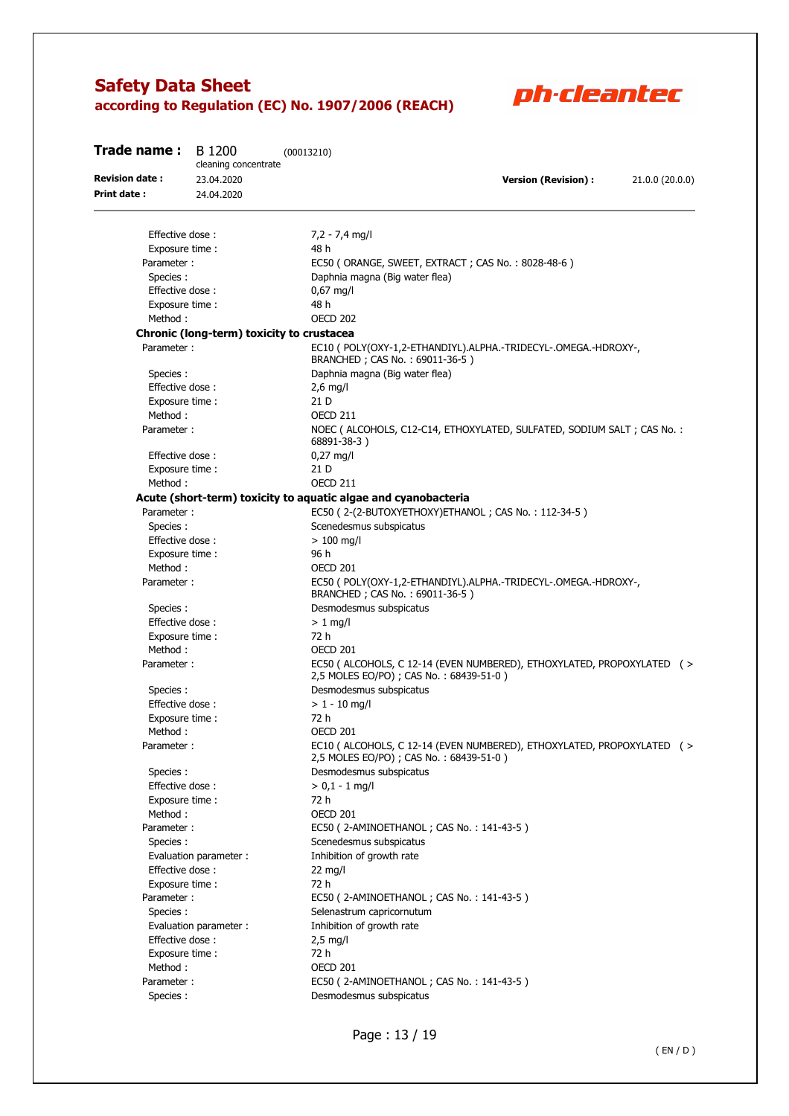

| Trade name:           | B 1200<br>cleaning concentrate            | (00013210)                                                                                                         |
|-----------------------|-------------------------------------------|--------------------------------------------------------------------------------------------------------------------|
| <b>Revision date:</b> | 23.04.2020                                | <b>Version (Revision):</b><br>21.0.0 (20.0.0)                                                                      |
| Print date :          | 24.04.2020                                |                                                                                                                    |
|                       |                                           |                                                                                                                    |
| Effective dose:       |                                           | $7,2 - 7,4$ mg/l                                                                                                   |
| Exposure time :       |                                           | 48 h                                                                                                               |
| Parameter:            |                                           | EC50 (ORANGE, SWEET, EXTRACT; CAS No.: 8028-48-6)                                                                  |
| Species:              |                                           | Daphnia magna (Big water flea)                                                                                     |
| Effective dose:       |                                           | $0,67$ mg/l                                                                                                        |
| Exposure time :       |                                           | 48 h                                                                                                               |
| Method:               |                                           | <b>OECD 202</b>                                                                                                    |
|                       | Chronic (long-term) toxicity to crustacea |                                                                                                                    |
| Parameter:            |                                           | EC10 ( POLY(OXY-1,2-ETHANDIYL).ALPHA.-TRIDECYL-.OMEGA.-HDROXY-,<br>BRANCHED; CAS No.: 69011-36-5)                  |
| Species:              |                                           | Daphnia magna (Big water flea)                                                                                     |
| Effective dose:       |                                           | $2,6$ mg/l                                                                                                         |
| Exposure time:        |                                           | 21 D                                                                                                               |
| Method:               |                                           | <b>OECD 211</b>                                                                                                    |
| Parameter:            |                                           | NOEC ( ALCOHOLS, C12-C14, ETHOXYLATED, SULFATED, SODIUM SALT ; CAS No. :<br>68891-38-3)                            |
| Effective dose:       |                                           | $0,27$ mg/l                                                                                                        |
| Exposure time :       |                                           | 21 D                                                                                                               |
| Method:               |                                           | <b>OECD 211</b>                                                                                                    |
|                       |                                           | Acute (short-term) toxicity to aquatic algae and cyanobacteria                                                     |
| Parameter:            |                                           | EC50 (2-(2-BUTOXYETHOXY)ETHANOL; CAS No.: 112-34-5)                                                                |
| Species:              |                                           | Scenedesmus subspicatus                                                                                            |
| Effective dose:       |                                           | $> 100$ mg/l                                                                                                       |
| Exposure time :       |                                           | 96 h                                                                                                               |
| Method:               |                                           | <b>OECD 201</b>                                                                                                    |
| Parameter:            |                                           | EC50 ( POLY(OXY-1,2-ETHANDIYL).ALPHA.-TRIDECYL-.OMEGA.-HDROXY-,<br>BRANCHED; CAS No.: 69011-36-5)                  |
| Species:              |                                           | Desmodesmus subspicatus                                                                                            |
| Effective dose:       |                                           | $> 1$ mg/l                                                                                                         |
| Exposure time:        |                                           | 72 h                                                                                                               |
| Method:               |                                           | OECD 201                                                                                                           |
| Parameter:            |                                           | EC50 ( ALCOHOLS, C 12-14 (EVEN NUMBERED), ETHOXYLATED, PROPOXYLATED ( ><br>2,5 MOLES EO/PO) ; CAS No.: 68439-51-0) |
| Species:              |                                           | Desmodesmus subspicatus                                                                                            |
| Effective dose:       |                                           | $> 1 - 10$ mg/l                                                                                                    |
| Exposure time:        |                                           | 72 h                                                                                                               |
| Method:               |                                           | <b>OECD 201</b>                                                                                                    |
| Parameter:            |                                           | EC10 ( ALCOHOLS, C 12-14 (EVEN NUMBERED), ETHOXYLATED, PROPOXYLATED ( ><br>2,5 MOLES EO/PO) ; CAS No.: 68439-51-0) |
| Species:              |                                           | Desmodesmus subspicatus                                                                                            |
| Effective dose:       |                                           | $> 0.1 - 1$ mg/l                                                                                                   |
| Exposure time:        |                                           | 72 h                                                                                                               |
| Method:               |                                           | <b>OECD 201</b>                                                                                                    |
| Parameter:            |                                           | EC50 (2-AMINOETHANOL; CAS No.: 141-43-5)                                                                           |
| Species:              |                                           | Scenedesmus subspicatus                                                                                            |
|                       | Evaluation parameter :                    | Inhibition of growth rate                                                                                          |
| Effective dose:       |                                           | $22 \text{ mg/l}$                                                                                                  |
| Exposure time:        |                                           | 72 h                                                                                                               |
| Parameter :           |                                           | EC50 (2-AMINOETHANOL; CAS No.: 141-43-5)                                                                           |
| Species:              |                                           | Selenastrum capricornutum                                                                                          |
|                       | Evaluation parameter :                    | Inhibition of growth rate                                                                                          |
| Effective dose:       |                                           | $2,5$ mg/l                                                                                                         |
| Exposure time:        |                                           | 72 h                                                                                                               |
| Method:               |                                           | <b>OECD 201</b>                                                                                                    |
| Parameter :           |                                           | EC50 (2-AMINOETHANOL; CAS No.: 141-43-5)                                                                           |
| Species:              |                                           | Desmodesmus subspicatus                                                                                            |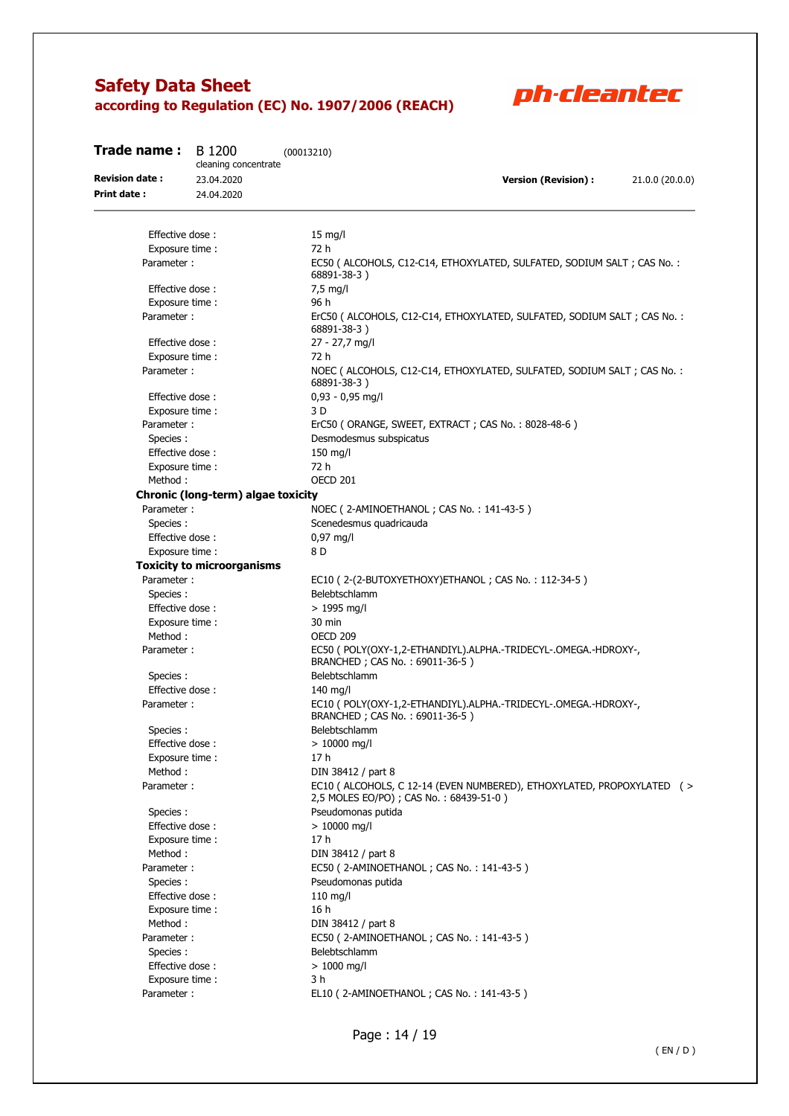

| Trade name :          | B 1200                             | (00013210)                                                                                                         |
|-----------------------|------------------------------------|--------------------------------------------------------------------------------------------------------------------|
|                       | cleaning concentrate               |                                                                                                                    |
| <b>Revision date:</b> | 23.04.2020                         | <b>Version (Revision):</b><br>21.0.0 (20.0.0)                                                                      |
| <b>Print date:</b>    | 24.04.2020                         |                                                                                                                    |
|                       |                                    |                                                                                                                    |
| Effective dose:       |                                    | $15$ mg/l                                                                                                          |
| Exposure time :       |                                    | 72 h                                                                                                               |
| Parameter:            |                                    | EC50 ( ALCOHOLS, C12-C14, ETHOXYLATED, SULFATED, SODIUM SALT ; CAS No. :<br>68891-38-3)                            |
| Effective dose:       |                                    | $7,5$ mg/l                                                                                                         |
| Exposure time :       |                                    | 96 h                                                                                                               |
| Parameter:            |                                    | ErC50 ( ALCOHOLS, C12-C14, ETHOXYLATED, SULFATED, SODIUM SALT ; CAS No. :<br>68891-38-3)                           |
| Effective dose:       |                                    | 27 - 27,7 mg/l                                                                                                     |
| Exposure time:        |                                    | 72 h                                                                                                               |
| Parameter:            |                                    | NOEC ( ALCOHOLS, C12-C14, ETHOXYLATED, SULFATED, SODIUM SALT ; CAS No. :<br>68891-38-3)                            |
| Effective dose:       |                                    | $0,93 - 0,95$ mg/l                                                                                                 |
| Exposure time :       |                                    | 3 D                                                                                                                |
| Parameter:            |                                    | ErC50 (ORANGE, SWEET, EXTRACT; CAS No.: 8028-48-6)                                                                 |
| Species:              |                                    | Desmodesmus subspicatus                                                                                            |
| Effective dose:       |                                    | $150$ mg/l                                                                                                         |
| Exposure time:        |                                    | 72 h                                                                                                               |
| Method:               |                                    | OECD 201                                                                                                           |
|                       | Chronic (long-term) algae toxicity |                                                                                                                    |
| Parameter:            |                                    | NOEC (2-AMINOETHANOL; CAS No.: 141-43-5)                                                                           |
| Species:              |                                    | Scenedesmus quadricauda                                                                                            |
| Effective dose:       |                                    | $0,97 \text{ mg/l}$                                                                                                |
| Exposure time:        |                                    | 8 D                                                                                                                |
|                       | <b>Toxicity to microorganisms</b>  |                                                                                                                    |
| Parameter:            |                                    | EC10 (2-(2-BUTOXYETHOXY) ETHANOL; CAS No.: 112-34-5)                                                               |
|                       |                                    | Belebtschlamm                                                                                                      |
| Species:              |                                    |                                                                                                                    |
| Effective dose:       |                                    | $> 1995$ mg/l                                                                                                      |
| Exposure time :       |                                    | 30 min                                                                                                             |
| Method:               |                                    | <b>OECD 209</b>                                                                                                    |
| Parameter:            |                                    | EC50 ( POLY(OXY-1,2-ETHANDIYL).ALPHA.-TRIDECYL-.OMEGA.-HDROXY-,<br>BRANCHED; CAS No.: 69011-36-5)                  |
| Species:              |                                    | Belebtschlamm                                                                                                      |
| Effective dose:       |                                    | $140$ mg/l                                                                                                         |
| Parameter:            |                                    | EC10 ( POLY(OXY-1,2-ETHANDIYL).ALPHA.-TRIDECYL-.OMEGA.-HDROXY-,<br>BRANCHED; CAS No.: 69011-36-5)                  |
| Species:              |                                    | Belebtschlamm                                                                                                      |
| Effective dose:       |                                    | $> 10000$ mg/l                                                                                                     |
| Exposure time:        |                                    | 17 h                                                                                                               |
| Method:               |                                    | DIN 38412 / part 8                                                                                                 |
| Parameter:            |                                    | EC10 ( ALCOHOLS, C 12-14 (EVEN NUMBERED), ETHOXYLATED, PROPOXYLATED ( ><br>2,5 MOLES EO/PO) ; CAS No.: 68439-51-0) |
| Species :             |                                    | Pseudomonas putida                                                                                                 |
| Effective dose:       |                                    | $> 10000$ mg/l                                                                                                     |
| Exposure time :       |                                    | 17 <sub>h</sub>                                                                                                    |
| Method:               |                                    | DIN 38412 / part 8                                                                                                 |
| Parameter:            |                                    | EC50 (2-AMINOETHANOL; CAS No.: 141-43-5)                                                                           |
| Species:              |                                    | Pseudomonas putida                                                                                                 |
| Effective dose:       |                                    | $110$ mg/l                                                                                                         |
| Exposure time:        |                                    | 16h                                                                                                                |
| Method:               |                                    | DIN 38412 / part 8                                                                                                 |
| Parameter:            |                                    | EC50 (2-AMINOETHANOL; CAS No.: 141-43-5)                                                                           |
| Species :             |                                    | Belebtschlamm                                                                                                      |
| Effective dose:       |                                    | $> 1000$ mg/l                                                                                                      |
| Exposure time:        |                                    | 3 h                                                                                                                |
|                       |                                    |                                                                                                                    |
| Parameter:            |                                    | EL10 (2-AMINOETHANOL; CAS No.: 141-43-5)                                                                           |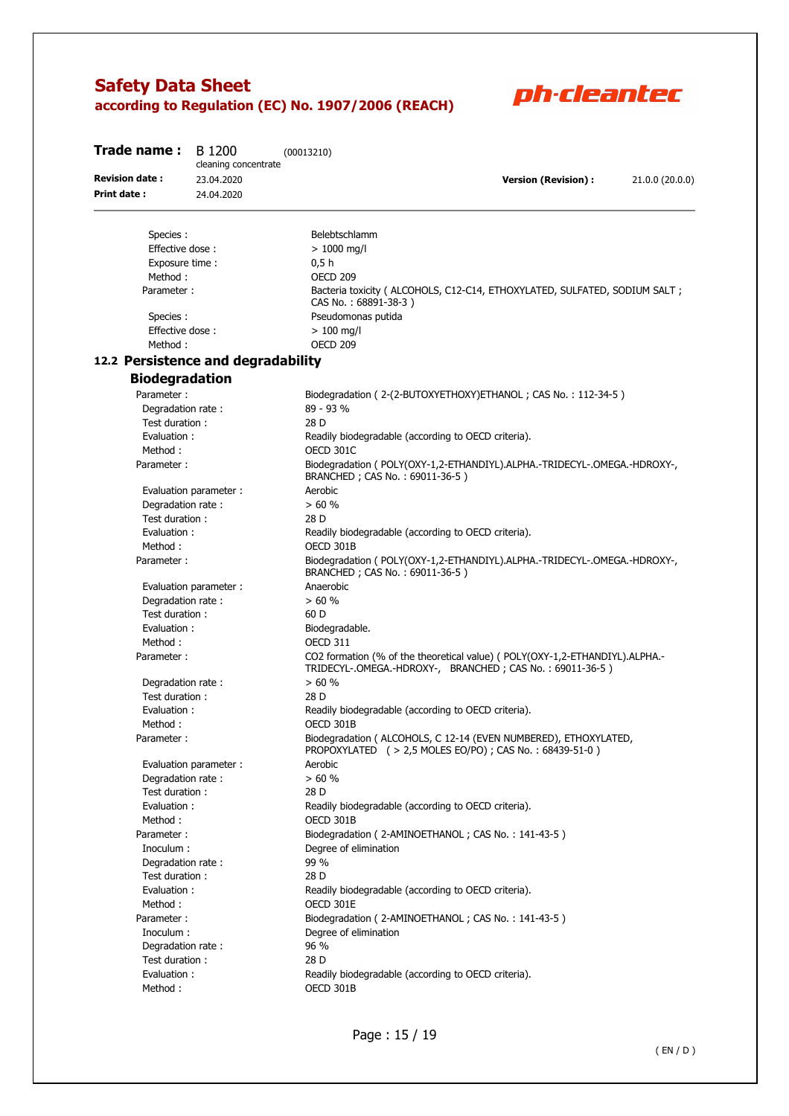

| Trade name:                         | B 1200<br>cleaning concentrate | (00013210)                                                                                                                              |                            |                 |
|-------------------------------------|--------------------------------|-----------------------------------------------------------------------------------------------------------------------------------------|----------------------------|-----------------|
| <b>Revision date:</b>               | 23.04.2020                     |                                                                                                                                         | <b>Version (Revision):</b> | 21.0.0 (20.0.0) |
| <b>Print date:</b>                  | 24.04.2020                     |                                                                                                                                         |                            |                 |
| Species:                            |                                | Belebtschlamm                                                                                                                           |                            |                 |
| Effective dose:                     |                                | $> 1000$ mg/l                                                                                                                           |                            |                 |
| Exposure time :                     |                                | 0,5h                                                                                                                                    |                            |                 |
| Method:                             |                                | OECD <sub>209</sub>                                                                                                                     |                            |                 |
| Parameter:                          |                                | Bacteria toxicity ( ALCOHOLS, C12-C14, ETHOXYLATED, SULFATED, SODIUM SALT ;<br>CAS No.: 68891-38-3)                                     |                            |                 |
| Species:                            |                                | Pseudomonas putida                                                                                                                      |                            |                 |
| Effective dose:                     |                                | $>100$ mg/l                                                                                                                             |                            |                 |
| Method:                             |                                | OECD <sub>209</sub>                                                                                                                     |                            |                 |
| 12.2 Persistence and degradability  |                                |                                                                                                                                         |                            |                 |
| <b>Biodegradation</b>               |                                |                                                                                                                                         |                            |                 |
| Parameter:                          |                                | Biodegradation (2-(2-BUTOXYETHOXY)ETHANOL; CAS No.: 112-34-5)                                                                           |                            |                 |
| Degradation rate:                   |                                | 89 - 93 %                                                                                                                               |                            |                 |
| Test duration:                      |                                | 28 D                                                                                                                                    |                            |                 |
| Evaluation:                         |                                | Readily biodegradable (according to OECD criteria).                                                                                     |                            |                 |
| Method:                             |                                | OECD 301C                                                                                                                               |                            |                 |
| Parameter:                          |                                | Biodegradation (POLY(OXY-1,2-ETHANDIYL).ALPHA.-TRIDECYL-.OMEGA.-HDROXY-,<br>BRANCHED; CAS No.: 69011-36-5)                              |                            |                 |
|                                     | Evaluation parameter:          | Aerobic                                                                                                                                 |                            |                 |
| Degradation rate:                   |                                | > 60%                                                                                                                                   |                            |                 |
| Test duration:                      |                                | 28 D                                                                                                                                    |                            |                 |
| Evaluation:                         |                                | Readily biodegradable (according to OECD criteria).                                                                                     |                            |                 |
| Method:                             |                                | OECD 301B                                                                                                                               |                            |                 |
| Parameter:                          |                                | Biodegradation (POLY(OXY-1,2-ETHANDIYL).ALPHA.-TRIDECYL-.OMEGA.-HDROXY-,<br>BRANCHED; CAS No.: 69011-36-5)                              |                            |                 |
|                                     | Evaluation parameter:          | Anaerobic                                                                                                                               |                            |                 |
| Degradation rate:                   |                                | > 60%                                                                                                                                   |                            |                 |
| Test duration:                      |                                | 60 D                                                                                                                                    |                            |                 |
| Evaluation:                         |                                | Biodegradable.                                                                                                                          |                            |                 |
| Method:<br>Parameter:               |                                | <b>OECD 311</b>                                                                                                                         |                            |                 |
|                                     |                                | CO2 formation (% of the theoretical value) (POLY(OXY-1,2-ETHANDIYL).ALPHA.-<br>TRIDECYL-.OMEGA.-HDROXY-, BRANCHED; CAS No.: 69011-36-5) |                            |                 |
| Degradation rate:<br>Test duration: |                                | > 60%<br>28 D                                                                                                                           |                            |                 |
| Evaluation:                         |                                | Readily biodegradable (according to OECD criteria).                                                                                     |                            |                 |
| Method:                             |                                | OECD 301B                                                                                                                               |                            |                 |
| Parameter:                          |                                | Biodegradation ( ALCOHOLS, C 12-14 (EVEN NUMBERED), ETHOXYLATED,<br>PROPOXYLATED ( > 2,5 MOLES EO/PO) ; CAS No.: 68439-51-0)            |                            |                 |
|                                     | Evaluation parameter :         | Aerobic                                                                                                                                 |                            |                 |
| Degradation rate:                   |                                | > 60%                                                                                                                                   |                            |                 |
| Test duration:                      |                                | 28 D                                                                                                                                    |                            |                 |
| Evaluation:                         |                                | Readily biodegradable (according to OECD criteria).                                                                                     |                            |                 |
| Method:                             |                                | OECD 301B                                                                                                                               |                            |                 |
| Parameter:                          |                                | Biodegradation (2-AMINOETHANOL; CAS No.: 141-43-5)                                                                                      |                            |                 |
| Inoculum :                          |                                | Degree of elimination                                                                                                                   |                            |                 |
| Degradation rate:                   |                                | 99 %                                                                                                                                    |                            |                 |
| Test duration:                      |                                | 28 D                                                                                                                                    |                            |                 |
| Evaluation:                         |                                | Readily biodegradable (according to OECD criteria).                                                                                     |                            |                 |
| Method:                             |                                | OECD 301E                                                                                                                               |                            |                 |
| Parameter:                          |                                | Biodegradation (2-AMINOETHANOL; CAS No.: 141-43-5)                                                                                      |                            |                 |
| Inoculum:                           |                                | Degree of elimination                                                                                                                   |                            |                 |
| Degradation rate:                   |                                | 96 %                                                                                                                                    |                            |                 |
| Test duration:                      |                                | 28 D                                                                                                                                    |                            |                 |
| Evaluation:<br>Method:              |                                | Readily biodegradable (according to OECD criteria).<br>OECD 301B                                                                        |                            |                 |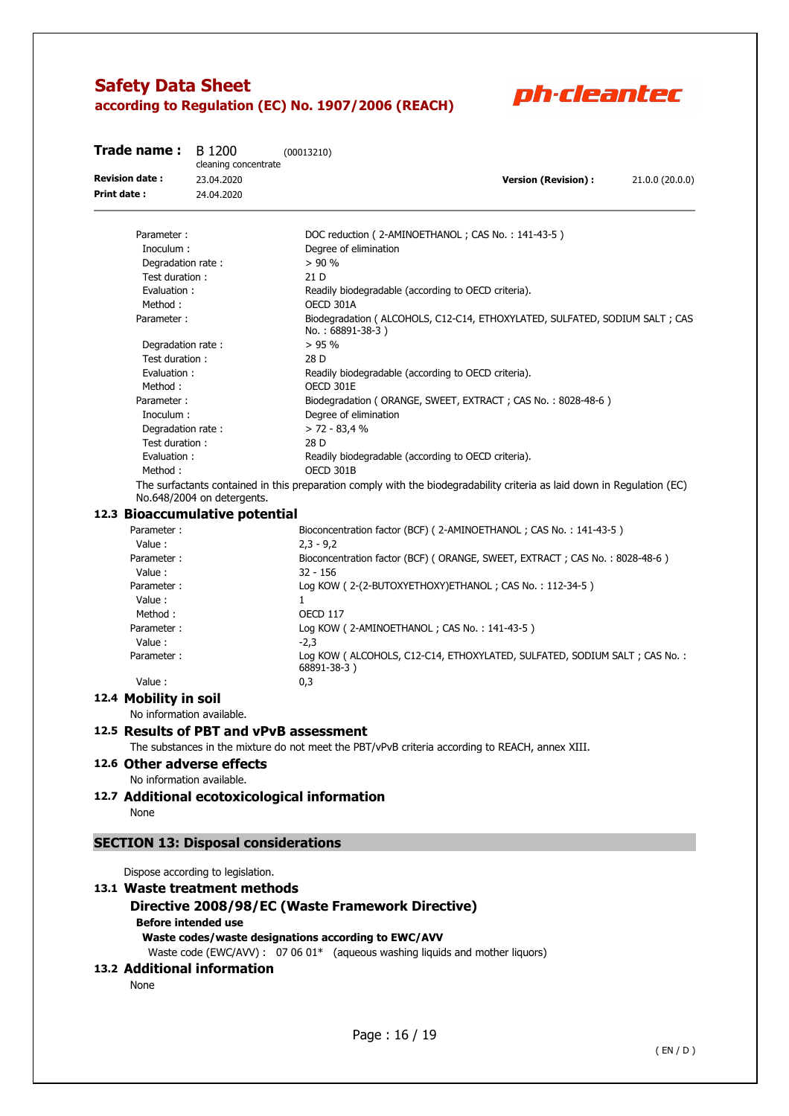

| Trade name :          | B 1200<br>cleaning concentrate | (00013210)                                                                                                              |
|-----------------------|--------------------------------|-------------------------------------------------------------------------------------------------------------------------|
| <b>Revision date:</b> | 23.04.2020                     | <b>Version (Revision):</b><br>21.0.0 (20.0.0)                                                                           |
| <b>Print date:</b>    | 24.04.2020                     |                                                                                                                         |
| Parameter:            |                                | DOC reduction (2-AMINOETHANOL; CAS No.: 141-43-5)                                                                       |
| Inoculum:             |                                | Degree of elimination                                                                                                   |
| Degradation rate:     |                                | > 90%                                                                                                                   |
| Test duration:        |                                | 21 D                                                                                                                    |
| Evaluation:           |                                | Readily biodegradable (according to OECD criteria).                                                                     |
| Method:               |                                | OECD 301A                                                                                                               |
| Parameter:            |                                | Biodegradation ( ALCOHOLS, C12-C14, ETHOXYLATED, SULFATED, SODIUM SALT ; CAS<br>No.: 68891-38-3)                        |
| Degradation rate:     |                                | $> 95\%$                                                                                                                |
| Test duration:        |                                | 28 D                                                                                                                    |
| Evaluation:           |                                | Readily biodegradable (according to OECD criteria).                                                                     |
| Method:               |                                | OECD 301E                                                                                                               |
| Parameter:            |                                | Biodegradation (ORANGE, SWEET, EXTRACT; CAS No.: 8028-48-6)                                                             |
| Inoculum:             |                                | Degree of elimination                                                                                                   |
| Degradation rate:     |                                | $> 72 - 83.4$ %                                                                                                         |
| Test duration:        |                                | 28 D                                                                                                                    |
| Evaluation:           |                                | Readily biodegradable (according to OECD criteria).                                                                     |
| Method:               |                                | OECD 301B                                                                                                               |
|                       | No.648/2004 on detergents.     | The surfactants contained in this preparation comply with the biodegradability criteria as laid down in Regulation (EC) |

### **12.3 Bioaccumulative potential**

| Parameter: | Bioconcentration factor (BCF) (2-AMINOETHANOL; CAS No.: 141-43-5)                          |
|------------|--------------------------------------------------------------------------------------------|
| Value:     | $2.3 - 9.2$                                                                                |
| Parameter: | Bioconcentration factor (BCF) (ORANGE, SWEET, EXTRACT; CAS No.: 8028-48-6)                 |
| Value:     | $32 - 156$                                                                                 |
| Parameter: | Log KOW (2-(2-BUTOXYETHOXY) ETHANOL; CAS No.: 112-34-5)                                    |
| Value:     |                                                                                            |
| Method:    | <b>OECD 117</b>                                                                            |
| Parameter: | Log KOW (2-AMINOETHANOL; CAS No.: 141-43-5)                                                |
| Value:     | $-2.3$                                                                                     |
| Parameter: | Log KOW ( ALCOHOLS, C12-C14, ETHOXYLATED, SULFATED, SODIUM SALT ; CAS No. :<br>68891-38-3) |
| Value:     | 0,3                                                                                        |
|            |                                                                                            |

**12.4 Mobility in soil** 

No information available.

### **12.5 Results of PBT and vPvB assessment**

The substances in the mixture do not meet the PBT/vPvB criteria according to REACH, annex XIII.

**12.6 Other adverse effects** 

No information available.

## **12.7 Additional ecotoxicological information**

None

### **SECTION 13: Disposal considerations**

Dispose according to legislation.

### **13.1 Waste treatment methods Directive 2008/98/EC (Waste Framework Directive) Before intended use Waste codes/waste designations according to EWC/AVV**

Waste code (EWC/AVV) :  $07.06 \, 01^*$  (aqueous washing liquids and mother liquors)

#### **13.2 Additional information**

None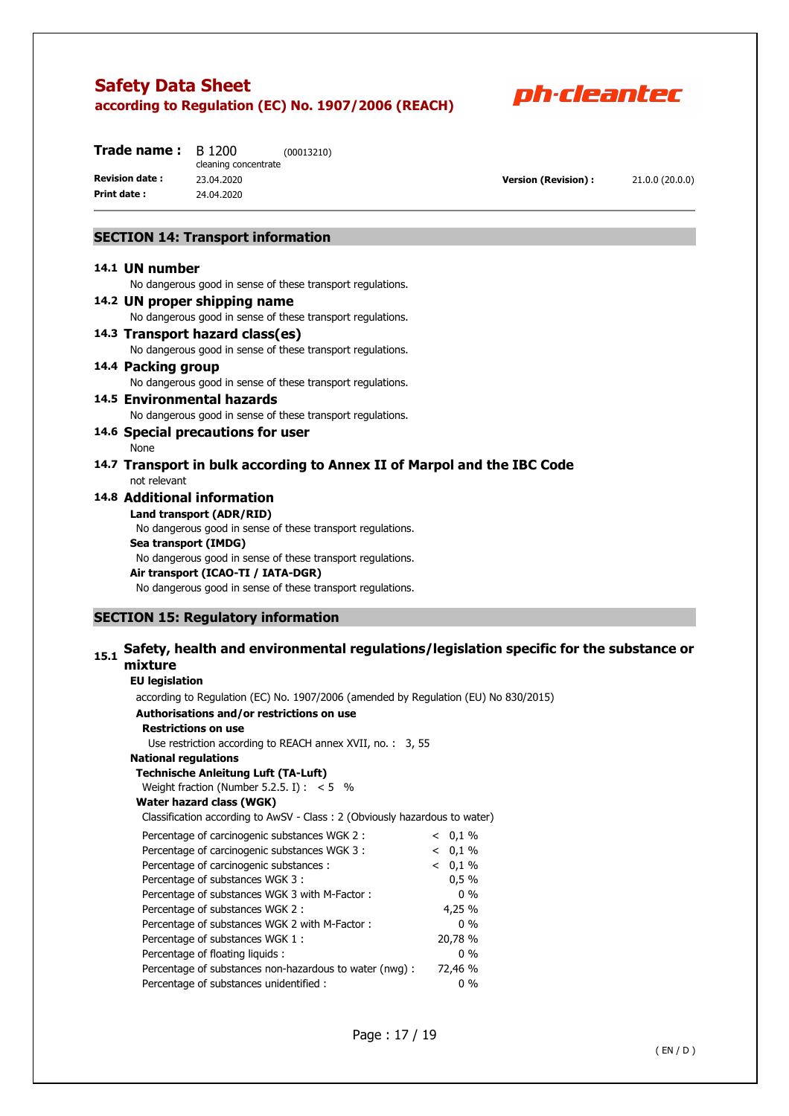

| Trade name :          | B 1200               | (00013210) |
|-----------------------|----------------------|------------|
|                       | cleaning concentrate |            |
| <b>Revision date:</b> | 23.04.2020           |            |
| Print date:           | 24.04.2020           |            |

**Version (Revision) :** 21.0.0 (20.0.0)

### **SECTION 14: Transport information**

#### **14.1 UN number**

No dangerous good in sense of these transport regulations.

- **14.2 UN proper shipping name**  No dangerous good in sense of these transport regulations. **14.3 Transport hazard class(es)**  No dangerous good in sense of these transport regulations.
- **14.4 Packing group**

No dangerous good in sense of these transport regulations.

**14.5 Environmental hazards** 

No dangerous good in sense of these transport regulations.

**14.6 Special precautions for user** 

None

### **14.7 Transport in bulk according to Annex II of Marpol and the IBC Code**  not relevant

#### **14.8 Additional information**

**Land transport (ADR/RID)** 

No dangerous good in sense of these transport regulations. **Sea transport (IMDG)**  No dangerous good in sense of these transport regulations. **Air transport (ICAO-TI / IATA-DGR)** 

No dangerous good in sense of these transport regulations.

#### **SECTION 15: Regulatory information**

### **15.1 Safety, health and environmental regulations/legislation specific for the substance or mixture**

#### **EU legislation**

 according to Regulation (EC) No. 1907/2006 (amended by Regulation (EU) No 830/2015) **Authorisations and/or restrictions on use Restrictions on use**  Use restriction according to REACH annex XVII, no. : 3, 55 **National regulations Technische Anleitung Luft (TA-Luft)**  Weight fraction (Number 5.2.5. I) :  $< 5$  % **Water hazard class (WGK)**  Classification according to AwSV - Class : 2 (Obviously hazardous to water) Percentage of carcinogenic substances WGK 2 :  $\leq 0.1\%$ Percentage of carcinogenic substances WGK 3 :  $\leq 0.1\%$ Percentage of carcinogenic substances :  $\leq 0.1\%$ Percentage of substances WGK 3 : 0.5 % Percentage of substances WGK 3 with M-Factor : 0 % Percentage of substances WGK 2 : 4,25 % Percentage of substances WGK 2 with M-Factor : 0 % Percentage of substances WGK 1 : 20,78 % Percentage of floating liquids : 0 % Percentage of substances non-hazardous to water (nwg) : 72,46 % Percentage of substances unidentified : 0 %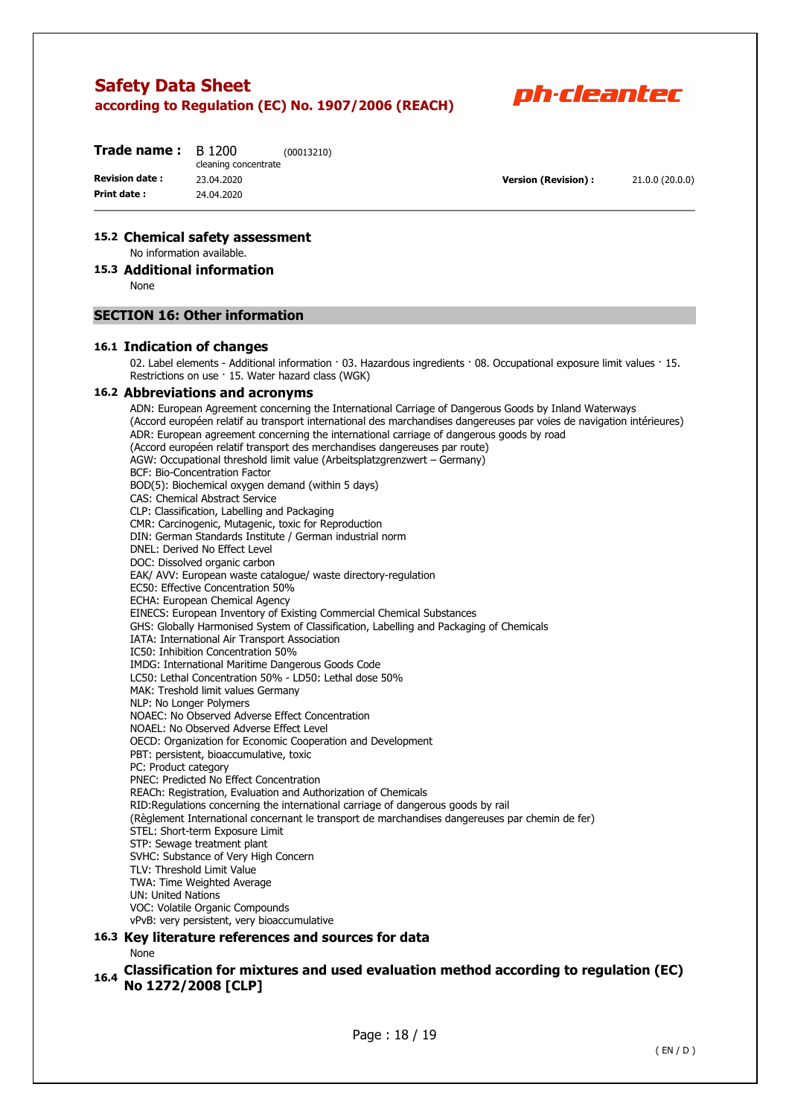

| Trade name :          | B 1200<br>cleaning concentrate | (00013210) |
|-----------------------|--------------------------------|------------|
| <b>Revision date:</b> | 23.04.2020                     |            |
| Print date:           | 24.04.2020                     |            |
|                       |                                |            |

**Version (Revision) :** 21.0.0 (20.0.0)

#### **15.2 Chemical safety assessment**

No information available.

### **15.3 Additional information**

None

#### **SECTION 16: Other information**

#### **16.1 Indication of changes**

02. Label elements - Additional information · 03. Hazardous ingredients · 08. Occupational exposure limit values · 15. Restrictions on use · 15. Water hazard class (WGK)

#### **16.2 Abbreviations and acronyms**

ADN: European Agreement concerning the International Carriage of Dangerous Goods by Inland Waterways (Accord européen relatif au transport international des marchandises dangereuses par voies de navigation intérieures) ADR: European agreement concerning the international carriage of dangerous goods by road (Accord européen relatif transport des merchandises dangereuses par route) AGW: Occupational threshold limit value (Arbeitsplatzgrenzwert – Germany) BCF: Bio-Concentration Factor BOD(5): Biochemical oxygen demand (within 5 days) CAS: Chemical Abstract Service CLP: Classification, Labelling and Packaging CMR: Carcinogenic, Mutagenic, toxic for Reproduction DIN: German Standards Institute / German industrial norm DNEL: Derived No Effect Level DOC: Dissolved organic carbon EAK/ AVV: European waste catalogue/ waste directory-regulation EC50: Effective Concentration 50% ECHA: European Chemical Agency EINECS: European Inventory of Existing Commercial Chemical Substances GHS: Globally Harmonised System of Classification, Labelling and Packaging of Chemicals IATA: International Air Transport Association IC50: Inhibition Concentration 50% IMDG: International Maritime Dangerous Goods Code LC50: Lethal Concentration 50% - LD50: Lethal dose 50% MAK: Treshold limit values Germany NLP: No Longer Polymers NOAEC: No Observed Adverse Effect Concentration NOAEL: No Observed Adverse Effect Level OECD: Organization for Economic Cooperation and Development PBT: persistent, bioaccumulative, toxic PC: Product category PNEC: Predicted No Effect Concentration REACh: Registration, Evaluation and Authorization of Chemicals RID:Regulations concerning the international carriage of dangerous goods by rail (Règlement International concernant le transport de marchandises dangereuses par chemin de fer) STEL: Short-term Exposure Limit STP: Sewage treatment plant SVHC: Substance of Very High Concern TLV: Threshold Limit Value TWA: Time Weighted Average UN: United Nations VOC: Volatile Organic Compounds vPvB: very persistent, very bioaccumulative **16.3 Key literature references and sources for data** 

None

## **16.4 Classification for mixtures and used evaluation method according to regulation (EC) No 1272/2008 [CLP]**